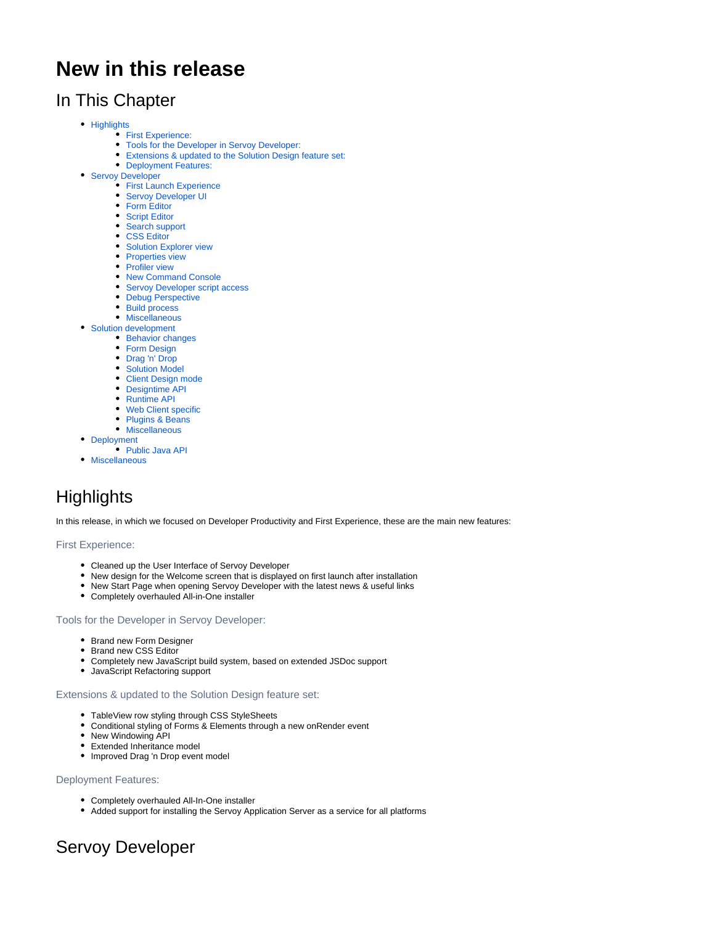# **New in this release**

# In This Chapter

- [Highlights](#page-0-0)
	- [First Experience:](#page-0-1)
	- [Tools for the Developer in Servoy Developer:](#page-0-2)
	- [Extensions & updated to the Solution Design feature set:](#page-0-3)
	- [Deployment Features:](#page-0-4)
- **[Servoy Developer](#page-0-5)** 
	- **[First Launch Experience](#page-0-6)** [Servoy Developer UI](#page-1-0)
	-
	- [Form Editor](#page-1-1)
	- [Script Editor](#page-5-0) • [Search support](#page-9-0)
	-
	- [CSS Editor](#page-9-1)
	- **[Solution Explorer view](#page-10-0)**
	- [Properties view](#page-10-1)
	- [Profiler view](#page-10-2)
	- [New Command Console](#page-10-3) • [Servoy Developer script access](#page-11-0)
	- [Debug Perspective](#page-11-1)
	-
	- [Build process](#page-11-2) • [Miscellaneous](#page-12-0)
- [Solution development](#page-13-0)
- [Behavior changes](#page-13-1)
	- [Form Design](#page-14-0)
	- [Drag 'n' Drop](#page-17-0)
	- [Solution Model](#page-17-1)
	- [Client Design mode](#page-17-2)
	- [Designtime API](#page-17-3)
	- [Runtime API](#page-17-4)
	- [Web Client specific](#page-19-0)
	- [Plugins & Beans](#page-20-0)
	- [Miscellaneous](#page-21-0)
- [Deployment](#page-22-0)
	- **[Public Java API](#page-23-0)**
- [Miscellaneous](#page-23-1)

# <span id="page-0-0"></span>**Highlights**

In this release, in which we focused on Developer Productivity and First Experience, these are the main new features:

# <span id="page-0-1"></span>First Experience:

- Cleaned up the User Interface of Servoy Developer
- New design for the Welcome screen that is displayed on first launch after installation
- New Start Page when opening Servoy Developer with the latest news & useful links
- Completely overhauled All-in-One installer

# <span id="page-0-2"></span>Tools for the Developer in Servoy Developer:

- Brand new Form Designer
- Brand new CSS Editor
- Completely new JavaScript build system, based on extended JSDoc support
- JavaScript Refactoring support

# <span id="page-0-3"></span>Extensions & updated to the Solution Design feature set:

- TableView row styling through CSS StyleSheets
- Conditional styling of Forms & Elements through a new onRender event
- New Windowing API
- Extended Inheritance model
- Improved Drag 'n Drop event model

# <span id="page-0-4"></span>Deployment Features:

- Completely overhauled All-In-One installer
- Added support for installing the Servoy Application Server as a service for all platforms

# <span id="page-0-6"></span><span id="page-0-5"></span>Servoy Developer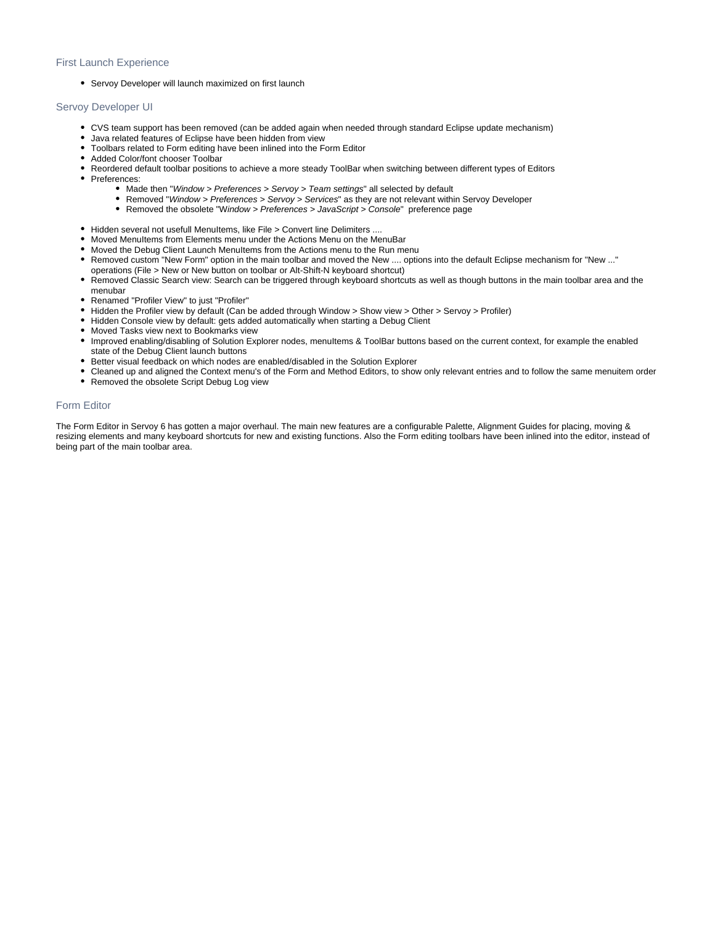## First Launch Experience

• Servoy Developer will launch maximized on first launch

# <span id="page-1-0"></span>Servoy Developer UI

- CVS team support has been removed (can be added again when needed through standard Eclipse update mechanism)
- Java related features of Eclipse have been hidden from view
- Toolbars related to Form editing have been inlined into the Form Editor
- Added Color/font chooser Toolbar
- Reordered default toolbar positions to achieve a more steady ToolBar when switching between different types of Editors
- Preferences:
	- Made then "Window > Preferences > Servoy > Team settings" all selected by default
	- Removed "Window > Preferences > Servoy > Services" as they are not relevant within Servoy Developer
	- Removed the obsolete "Window > Preferences > JavaScript > Console" preference page
- Hidden several not usefull MenuItems, like File > Convert line Delimiters ....
- Moved MenuItems from Elements menu under the Actions Menu on the MenuBar
- Moved the Debug Client Launch MenuItems from the Actions menu to the Run menu
- Removed custom "New Form" option in the main toolbar and moved the New .... options into the default Eclipse mechanism for "New ..."
- operations (File > New or New button on toolbar or Alt-Shift-N keyboard shortcut)
- Removed Classic Search view: Search can be triggered through keyboard shortcuts as well as though buttons in the main toolbar area and the menubar
- Renamed "Profiler View" to just "Profiler"
- Hidden the Profiler view by default (Can be added through Window > Show view > Other > Servoy > Profiler)
- Hidden Console view by default: gets added automatically when starting a Debug Client
- Moved Tasks view next to Bookmarks view
- Improved enabling/disabling of Solution Explorer nodes, menuItems & ToolBar buttons based on the current context, for example the enabled state of the Debug Client launch buttons
- Better visual feedback on which nodes are enabled/disabled in the Solution Explorer
- Cleaned up and aligned the Context menu's of the Form and Method Editors, to show only relevant entries and to follow the same menuitem order
- Removed the obsolete Script Debug Log view

# <span id="page-1-1"></span>Form Editor

The Form Editor in Servoy 6 has gotten a major overhaul. The main new features are a configurable Palette, Alignment Guides for placing, moving & resizing elements and many keyboard shortcuts for new and existing functions. Also the Form editing toolbars have been inlined into the editor, instead of being part of the main toolbar area.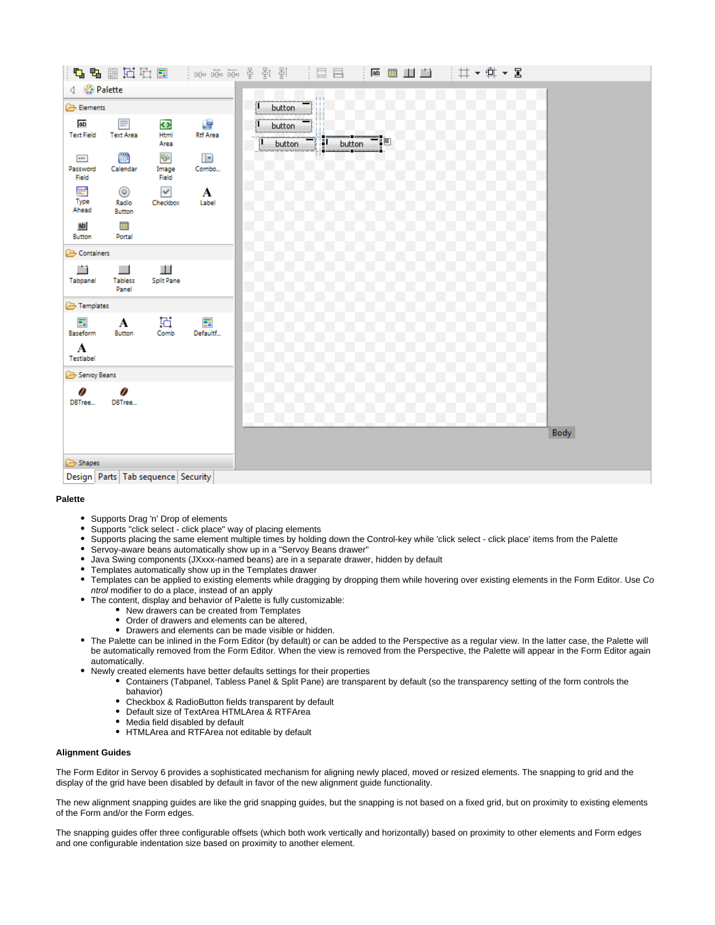

### **Palette**

- Supports Drag 'n' Drop of elements
- Supports "click select click place" way of placing elements
- Supports placing the same element multiple times by holding down the Control-key while 'click select click place' items from the Palette
- Servoy-aware beans automatically show up in a "Servoy Beans drawer"
- Java Swing components (JXxxx-named beans) are in a separate drawer, hidden by default
- Templates automatically show up in the Templates drawer
- $\bullet$ Templates can be applied to existing elements while dragging by dropping them while hovering over existing elements in the Form Editor. Use Co ntrol modifier to do a place, instead of an apply
- The content, display and behavior of Palette is fully customizable:
	- New drawers can be created from Templates
	- Order of drawers and elements can be altered,
	- Drawers and elements can be made visible or hidden.
- The Palette can be inlined in the Form Editor (by default) or can be added to the Perspective as a regular view. In the latter case, the Palette will be automatically removed from the Form Editor. When the view is removed from the Perspective, the Palette will appear in the Form Editor again automatically.
	- Newly created elements have better defaults settings for their properties
		- Containers (Tabpanel, Tabless Panel & Split Pane) are transparent by default (so the transparency setting of the form controls the bahavior)
			- Checkbox & RadioButton fields transparent by default
		- Default size of TextArea HTMLArea & RTFArea
		- Media field disabled by default
		- HTMLArea and RTFArea not editable by default

### **Alignment Guides**

The Form Editor in Servoy 6 provides a sophisticated mechanism for aligning newly placed, moved or resized elements. The snapping to grid and the display of the grid have been disabled by default in favor of the new alignment guide functionality.

The new alignment snapping guides are like the grid snapping guides, but the snapping is not based on a fixed grid, but on proximity to existing elements of the Form and/or the Form edges.

The snapping guides offer three configurable offsets (which both work vertically and horizontally) based on proximity to other elements and Form edges and one configurable indentation size based on proximity to another element.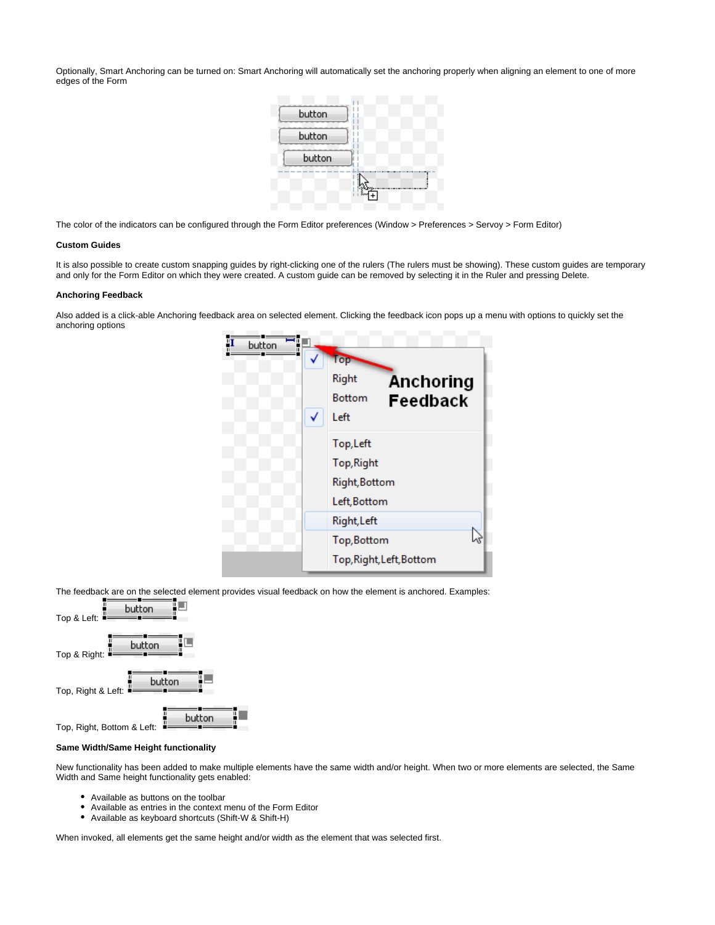Optionally, Smart Anchoring can be turned on: Smart Anchoring will automatically set the anchoring properly when aligning an element to one of more edges of the Form



The color of the indicators can be configured through the Form Editor preferences (Window > Preferences > Servoy > Form Editor)

### **Custom Guides**

It is also possible to create custom snapping guides by right-clicking one of the rulers (The rulers must be showing). These custom guides are temporary and only for the Form Editor on which they were created. A custom guide can be removed by selecting it in the Ruler and pressing Delete.

### **Anchoring Feedback**

Also added is a click-able Anchoring feedback area on selected element. Clicking the feedback icon pops up a menu with options to quickly set the anchoring options



The feedback are on the selected element provides visual feedback on how the element is anchored. Examples:



### **Same Width/Same Height functionality**

New functionality has been added to make multiple elements have the same width and/or height. When two or more elements are selected, the Same Width and Same height functionality gets enabled:

- Available as buttons on the toolbar
- Available as entries in the context menu of the Form Editor
- $\bullet$ Available as keyboard shortcuts (Shift-W & Shift-H)

When invoked, all elements get the same height and/or width as the element that was selected first.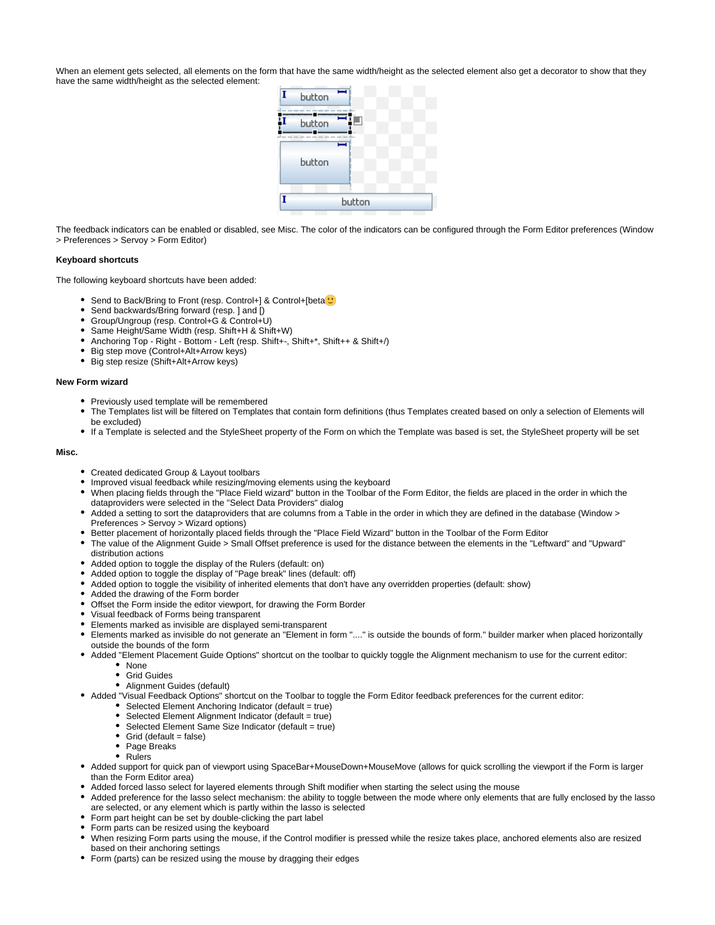When an element gets selected, all elements on the form that have the same width/height as the selected element also get a decorator to show that they have the same width/height as the selected element:



The feedback indicators can be enabled or disabled, see Misc. The color of the indicators can be configured through the Form Editor preferences (Window > Preferences > Servoy > Form Editor)

### **Keyboard shortcuts**

The following keyboard shortcuts have been added:

- Send to Back/Bring to Front (resp. Control+] & Control+[beta<sup>1</sup>
- Send backwards/Bring forward (resp. ] and [)  $\bullet$
- $\bullet$ Group/Ungroup (resp. Control+G & Control+U)
- Same Height/Same Width (resp. Shift+H & Shift+W)
- Anchoring Top Right Bottom Left (resp. Shift+-, Shift+\*, Shift++ & Shift+/)
- Big step move (Control+Alt+Arrow keys)
- Big step resize (Shift+Alt+Arrow keys)

### **New Form wizard**

- Previously used template will be remembered
- The Templates list will be filtered on Templates that contain form definitions (thus Templates created based on only a selection of Elements will be excluded)
- If a Template is selected and the StyleSheet property of the Form on which the Template was based is set, the StyleSheet property will be set

#### **Misc.**

- Created dedicated Group & Layout toolbars
- Improved visual feedback while resizing/moving elements using the keyboard
- When placing fields through the "Place Field wizard" button in the Toolbar of the Form Editor, the fields are placed in the order in which the dataproviders were selected in the "Select Data Providers" dialog
- Added a setting to sort the dataproviders that are columns from a Table in the order in which they are defined in the database (Window > Preferences > Servoy > Wizard options)
- **Better placement of horizontally placed fields through the "Place Field Wizard" button in the Toolbar of the Form Editor**
- The value of the Alignment Guide > Small Offset preference is used for the distance between the elements in the "Leftward" and "Upward" distribution actions
- Added option to toggle the display of the Rulers (default: on)
- Added option to toggle the display of "Page break" lines (default: off)
- Added option to toggle the visibility of inherited elements that don't have any overridden properties (default: show)
- Added the drawing of the Form border
- Offset the Form inside the editor viewport, for drawing the Form Border
- Visual feedback of Forms being transparent
- Elements marked as invisible are displayed semi-transparent
- Elements marked as invisible do not generate an "Element in form "...." is outside the bounds of form." builder marker when placed horizontally outside the bounds of the form
- Added "Element Placement Guide Options" shortcut on the toolbar to quickly toggle the Alignment mechanism to use for the current editor: • None
	- Grid Guides
	- Alignment Guides (default)
- Added "Visual Feedback Options" shortcut on the Toolbar to toggle the Form Editor feedback preferences for the current editor:
	- Selected Element Anchoring Indicator (default = true)
	- Selected Element Alignment Indicator (default = true)
	- Selected Element Same Size Indicator (default = true)
	- $\bullet$ Grid (default = false)
	- Page Breaks
	- Rulers
- Added support for quick pan of viewport using SpaceBar+MouseDown+MouseMove (allows for quick scrolling the viewport if the Form is larger than the Form Editor area)
- Added forced lasso select for layered elements through Shift modifier when starting the select using the mouse
- Added preference for the lasso select mechanism: the ability to toggle between the mode where only elements that are fully enclosed by the lasso are selected, or any element which is partly within the lasso is selected
- Form part height can be set by double-clicking the part label
- Form parts can be resized using the keyboard
- When resizing Form parts using the mouse, if the Control modifier is pressed while the resize takes place, anchored elements also are resized based on their anchoring settings
- Form (parts) can be resized using the mouse by dragging their edges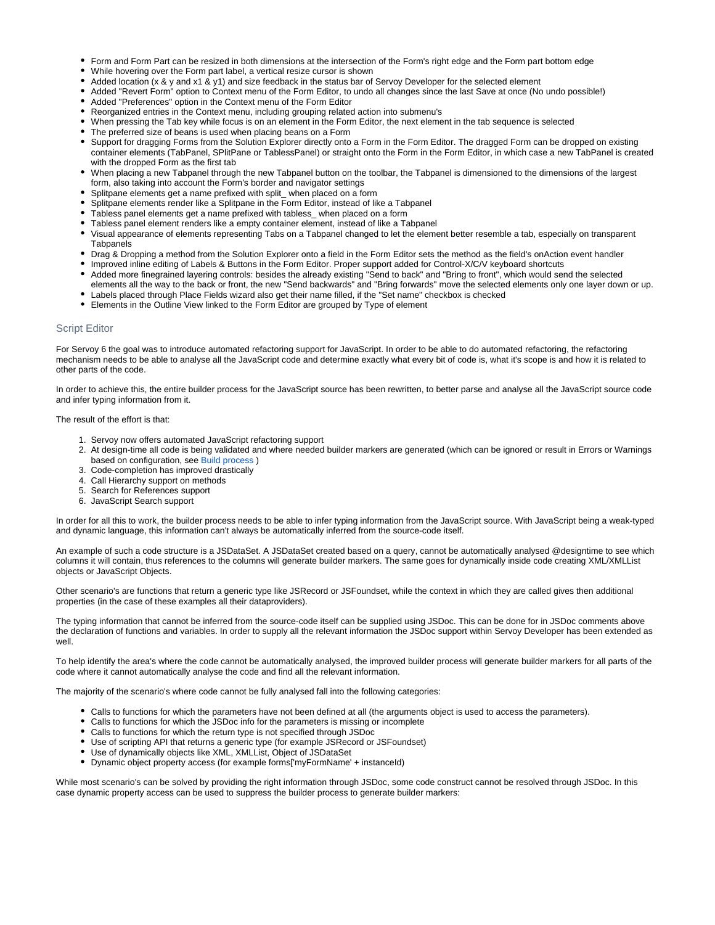- Form and Form Part can be resized in both dimensions at the intersection of the Form's right edge and the Form part bottom edge
- While hovering over the Form part label, a vertical resize cursor is shown
- Added location (x & y and x1 & y1) and size feedback in the status bar of Servoy Developer for the selected element
- Added "Revert Form" option to Context menu of the Form Editor, to undo all changes since the last Save at once (No undo possible!)
- Added "Preferences" option in the Context menu of the Form Editor
- Reorganized entries in the Context menu, including grouping related action into submenu's
- When pressing the Tab key while focus is on an element in the Form Editor, the next element in the tab sequence is selected
- The preferred size of beans is used when placing beans on a Form
- Support for dragging Forms from the Solution Explorer directly onto a Form in the Form Editor. The dragged Form can be dropped on existing container elements (TabPanel, SPlitPane or TablessPanel) or straight onto the Form in the Form Editor, in which case a new TabPanel is created with the dropped Form as the first tab
- When placing a new Tabpanel through the new Tabpanel button on the toolbar, the Tabpanel is dimensioned to the dimensions of the largest form, also taking into account the Form's border and navigator settings
- Splitpane elements get a name prefixed with split\_ when placed on a form
- Splitpane elements render like a Splitpane in the Form Editor, instead of like a Tabpanel
- Tabless panel elements get a name prefixed with tabless\_ when placed on a form
- Tabless panel element renders like a empty container element, instead of like a Tabpanel
- Visual appearance of elements representing Tabs on a Tabpanel changed to let the element better resemble a tab, especially on transparent **Tabpanels**
- Drag & Dropping a method from the Solution Explorer onto a field in the Form Editor sets the method as the field's onAction event handler
- Improved inline editing of Labels & Buttons in the Form Editor. Proper support added for Control-X/C/V keyboard shortcuts
- $\bullet$ Added more finegrained layering controls: besides the already existing "Send to back" and "Bring to front", which would send the selected elements all the way to the back or front, the new "Send backwards" and "Bring forwards" move the selected elements only one layer down or up.
- Labels placed through Place Fields wizard also get their name filled, if the "Set name" checkbox is checked
- Elements in the Outline View linked to the Form Editor are grouped by Type of element

## <span id="page-5-0"></span>Script Editor

For Servoy 6 the goal was to introduce automated refactoring support for JavaScript. In order to be able to do automated refactoring, the refactoring mechanism needs to be able to analyse all the JavaScript code and determine exactly what every bit of code is, what it's scope is and how it is related to other parts of the code.

In order to achieve this, the entire builder process for the JavaScript source has been rewritten, to better parse and analyse all the JavaScript source code and infer typing information from it.

The result of the effort is that:

- 1. Servoy now offers automated JavaScript refactoring support
- 2. At design-time all code is being validated and where needed builder markers are generated (which can be ignored or result in Errors or Warnings based on configuration, see [Build process](#page-11-2) )
- 3. Code-completion has improved drastically
- 4. Call Hierarchy support on methods
- 5. Search for References support
- 6. JavaScript Search support

In order for all this to work, the builder process needs to be able to infer typing information from the JavaScript source. With JavaScript being a weak-typed and dynamic language, this information can't always be automatically inferred from the source-code itself.

An example of such a code structure is a JSDataSet. A JSDataSet created based on a query, cannot be automatically analysed @designtime to see which columns it will contain, thus references to the columns will generate builder markers. The same goes for dynamically inside code creating XML/XMLList objects or JavaScript Objects.

Other scenario's are functions that return a generic type like JSRecord or JSFoundset, while the context in which they are called gives then additional properties (in the case of these examples all their dataproviders).

The typing information that cannot be inferred from the source-code itself can be supplied using JSDoc. This can be done for in JSDoc comments above the declaration of functions and variables. In order to supply all the relevant information the JSDoc support within Servoy Developer has been extended as well.

To help identify the area's where the code cannot be automatically analysed, the improved builder process will generate builder markers for all parts of the code where it cannot automatically analyse the code and find all the relevant information.

The majority of the scenario's where code cannot be fully analysed fall into the following categories:

- Calls to functions for which the parameters have not been defined at all (the arguments object is used to access the parameters).
- Calls to functions for which the JSDoc info for the parameters is missing or incomplete
- Calls to functions for which the return type is not specified through JSDoc
- Use of scripting API that returns a generic type (for example JSRecord or JSFoundset)
- Use of dynamically objects like XML, XMLList, Object of JSDataSet
- Dynamic object property access (for example forms['myFormName' + instanceId)

While most scenario's can be solved by providing the right information through JSDoc, some code construct cannot be resolved through JSDoc. In this case dynamic property access can be used to suppress the builder process to generate builder markers: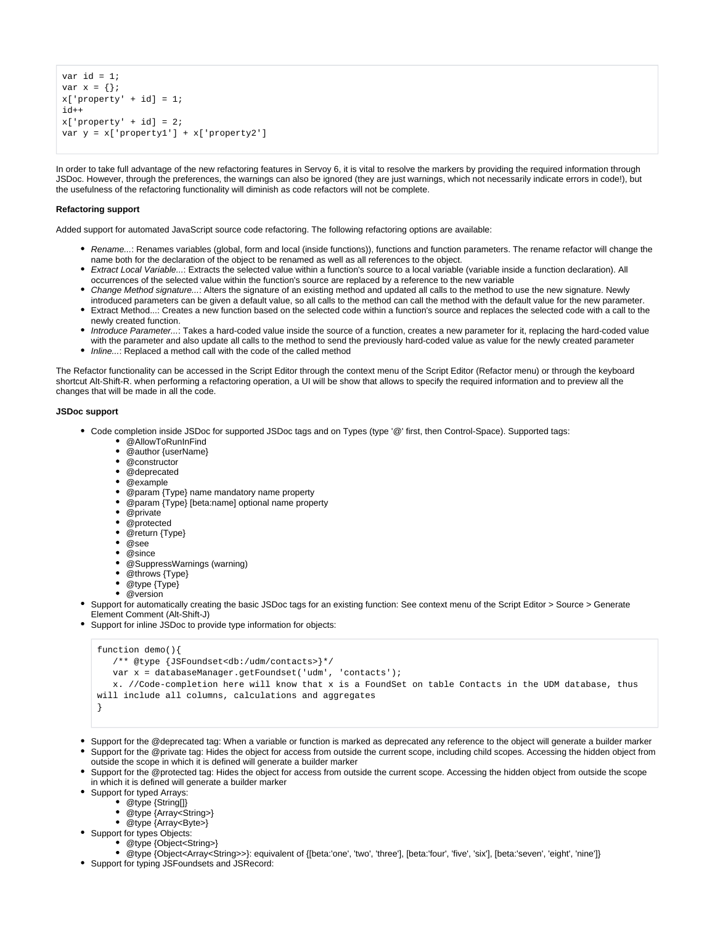```
var id = 1;
var x = \{\};
x['property' + id] = 1;id++
x['property' + id] = 2;var y = x['property1'] + x['property2']
```
In order to take full advantage of the new refactoring features in Servoy 6, it is vital to resolve the markers by providing the required information through JSDoc. However, through the preferences, the warnings can also be ignored (they are just warnings, which not necessarily indicate errors in code!), but the usefulness of the refactoring functionality will diminish as code refactors will not be complete.

### **Refactoring support**

Added support for automated JavaScript source code refactoring. The following refactoring options are available:

- Rename...: Renames variables (global, form and local (inside functions)), functions and function parameters. The rename refactor will change the name both for the declaration of the object to be renamed as well as all references to the object.
- Extract Local Variable...: Extracts the selected value within a function's source to a local variable (variable inside a function declaration). All occurrences of the selected value within the function's source are replaced by a reference to the new variable
- Change Method signature...: Alters the signature of an existing method and updated all calls to the method to use the new signature. Newly introduced parameters can be given a default value, so all calls to the method can call the method with the default value for the new parameter.
- Extract Method...: Creates a new function based on the selected code within a function's source and replaces the selected code with a call to the newly created function.
- Introduce Parameter...: Takes a hard-coded value inside the source of a function, creates a new parameter for it, replacing the hard-coded value with the parameter and also update all calls to the method to send the previously hard-coded value as value for the newly created parameter
- Inline...: Replaced a method call with the code of the called method

The Refactor functionality can be accessed in the Script Editor through the context menu of the Script Editor (Refactor menu) or through the keyboard shortcut Alt-Shift-R. when performing a refactoring operation, a UI will be show that allows to specify the required information and to preview all the changes that will be made in all the code.

### **JSDoc support**

- Code completion inside JSDoc for supported JSDoc tags and on Types (type '@' first, then Control-Space). Supported tags:
	- @AllowToRunInFind
	- @author {userName}
	- @constructor
	- @deprecated
	- @example
	- @param {Type} name mandatory name property
	- @param {Type} [beta:name] optional name property
	- @private
	- @protected
	- @return {Type}
	- @see
	- @since
	- @SuppressWarnings (warning)
	- @throws {Type}
	- @type {Type}
	- @version
- Support for automatically creating the basic JSDoc tags for an existing function: See context menu of the Script Editor > Source > Generate Element Comment (Alt-Shift-J)
- Support for inline JSDoc to provide type information for objects:

```
function demo(){
    /** @type {JSFoundset<db:/udm/contacts>}*/
    var x = databaseManager.getFoundset('udm', 'contacts');
    x. //Code-completion here will know that x is a FoundSet on table Contacts in the UDM database, thus 
will include all columns, calculations and aggregates
}
```
- Support for the @deprecated tag: When a variable or function is marked as deprecated any reference to the object will generate a builder marker
- Support for the @private tag: Hides the object for access from outside the current scope, including child scopes. Accessing the hidden object from outside the scope in which it is defined will generate a builder marker
- Support for the @protected tag: Hides the object for access from outside the current scope. Accessing the hidden object from outside the scope in which it is defined will generate a builder marker
- Support for typed Arrays:
	- @type {String[]}
		- @type {Array<String>}
		- @type {Array<Byte>}
- Support for types Objects:
	- @type {Object<String>}
	- @type {Object<Array<String>>}: equivalent of {[beta:'one', 'two', 'three'], [beta:'four', 'five', 'six'], [beta:'seven', 'eight', 'nine']}
- Support for typing JSFoundsets and JSRecord: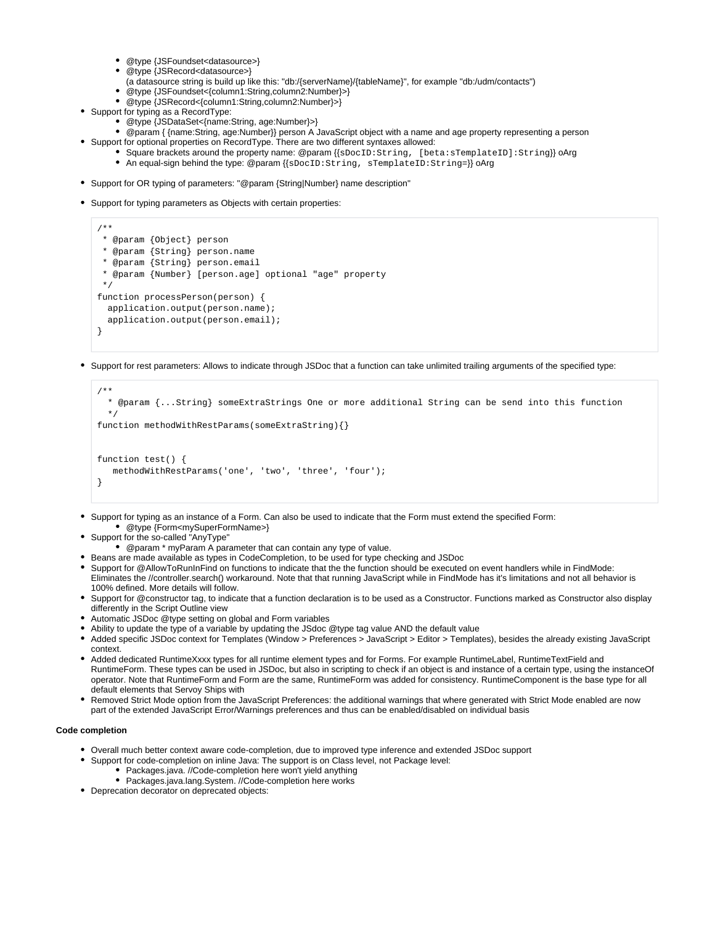- @type {JSFoundset<datasource>}
- @type {JSRecord<datasource>}
- (a datasource string is build up like this: "db:/{serverName}/{tableName}", for example "db:/udm/contacts")
- @type {JSFoundset<{column1:String,column2:Number}>}
- @type {JSRecord<{column1:String,column2:Number}>}
- Support for typing as a RecordType:
	- @type {JSDataSet<{name:String, age:Number}>}
- @param { {name:String, age:Number}} person A JavaScript object with a name and age property representing a person
- Support for optional properties on RecordType. There are two different syntaxes allowed:
	- Square brackets around the property name: @param {{sDocID:String, [beta:sTemplateID]:String}} oArg
	- An equal-sign behind the type: @param {{sDocID:String, sTemplateID:String=}} oArg
- Support for OR typing of parameters: "@param {String|Number} name description"
- Support for typing parameters as Objects with certain properties:

```
/**
 * @param {Object} person
  * @param {String} person.name
  * @param {String} person.email
  * @param {Number} [person.age] optional "age" property
 */
function processPerson(person) {
   application.output(person.name);
   application.output(person.email);
}
```
• Support for rest parameters: Allows to indicate through JSDoc that a function can take unlimited trailing arguments of the specified type:

```
/**
   * @param {...String} someExtraStrings One or more additional String can be send into this function
   */
function methodWithRestParams(someExtraString){}
function test() {
    methodWithRestParams('one', 'two', 'three', 'four');
}
```
- Support for typing as an instance of a Form. Can also be used to indicate that the Form must extend the specified Form: @type {Form<mySuperFormName>}
- Support for the so-called "AnyType"
- @param \* myParam A parameter that can contain any type of value.
- Beans are made available as types in CodeCompletion, to be used for type checking and JSDoc
- Support for @AllowToRunInFind on functions to indicate that the the function should be executed on event handlers while in FindMode: Eliminates the //controller.search() workaround. Note that that running JavaScript while in FindMode has it's limitations and not all behavior is 100% defined. More details will follow.
- Support for @constructor tag, to indicate that a function declaration is to be used as a Constructor. Functions marked as Constructor also display differently in the Script Outline view
- Automatic JSDoc @type setting on global and Form variables
- Ability to update the type of a variable by updating the JSdoc @type tag value AND the default value
- Added specific JSDoc context for Templates (Window > Preferences > JavaScript > Editor > Templates), besides the already existing JavaScript context.
- Added dedicated RuntimeXxxx types for all runtime element types and for Forms. For example RuntimeLabel, RuntimeTextField and RuntimeForm. These types can be used in JSDoc, but also in scripting to check if an object is and instance of a certain type, using the instanceOf operator. Note that RuntimeForm and Form are the same, RuntimeForm was added for consistency. RuntimeComponent is the base type for all default elements that Servoy Ships with
- Removed Strict Mode option from the JavaScript Preferences: the additional warnings that where generated with Strict Mode enabled are now part of the extended JavaScript Error/Warnings preferences and thus can be enabled/disabled on individual basis

## **Code completion**

- Overall much better context aware code-completion, due to improved type inference and extended JSDoc support
- Support for code-completion on inline Java: The support is on Class level, not Package level:
	- Packages.java. //Code-completion here won't yield anything
	- Packages.java.lang.System. //Code-completion here works
- Deprecation decorator on deprecated objects: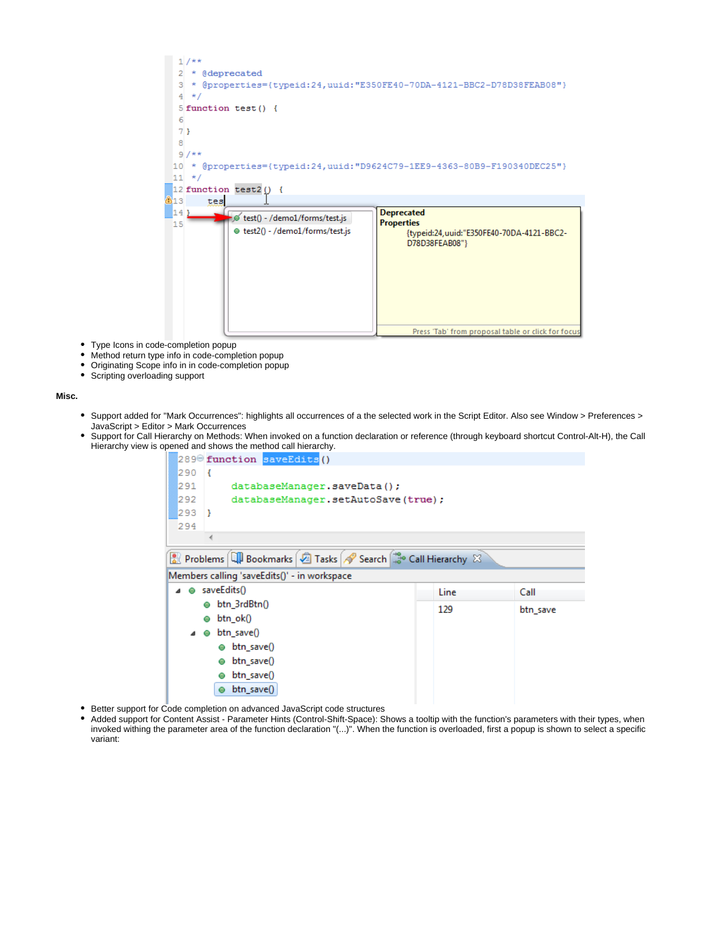

- Type Icons in code-completion popup  $\bullet$
- Method return type info in code-completion popup
- $\bullet$ Originating Scope info in in code-completion popup
- Scripting overloading support

### **Misc.**

- Support added for "Mark Occurrences": highlights all occurrences of a the selected work in the Script Editor. Also see Window > Preferences > JavaScript > Editor > Mark Occurrences
- Support for Call Hierarchy on Methods: When invoked on a function declaration or reference (through keyboard shortcut Control-Alt-H), the Call Hierarchy view is opened and shows the method call hierarchy.

|                                              | 289 <sup>e</sup> function saveEdits()                            |     |          |  |  |  |  |  |
|----------------------------------------------|------------------------------------------------------------------|-----|----------|--|--|--|--|--|
| 290                                          | $\overline{1}$                                                   |     |          |  |  |  |  |  |
|                                              | 1291<br>databaseManager.saveData();                              |     |          |  |  |  |  |  |
|                                              | 292<br>databaseManager.setAutoSave(true);                        |     |          |  |  |  |  |  |
|                                              | 293)                                                             |     |          |  |  |  |  |  |
|                                              | 294                                                              |     |          |  |  |  |  |  |
|                                              |                                                                  |     |          |  |  |  |  |  |
|                                              | Problems     Bookmarks   2 Tasks   8 Search   3 Call Hierarchy 8 |     |          |  |  |  |  |  |
| Members calling 'saveEdits()' - in workspace |                                                                  |     |          |  |  |  |  |  |
|                                              | ● saveEdits()<br>Line<br>Call                                    |     |          |  |  |  |  |  |
|                                              | btn_3rdBtn()<br>$\bullet$                                        | 129 | btn save |  |  |  |  |  |
|                                              | $btn$ ok $()$<br>Ō                                               |     |          |  |  |  |  |  |
|                                              | $btn$ save $()$<br>◢<br>$\bullet$                                |     |          |  |  |  |  |  |
|                                              | $btn$ save $()$<br>$\bullet$                                     |     |          |  |  |  |  |  |
|                                              | $btn$ save $()$                                                  |     |          |  |  |  |  |  |
|                                              | $btn$ save $()$<br>O                                             |     |          |  |  |  |  |  |
|                                              | $btn$ save $()$                                                  |     |          |  |  |  |  |  |

- Better support for Code completion on advanced JavaScript code structures
- $\bullet$ Added support for Content Assist - Parameter Hints (Control-Shift-Space): Shows a tooltip with the function's parameters with their types, when invoked withing the parameter area of the function declaration "(...)". When the function is overloaded, first a popup is shown to select a specific variant: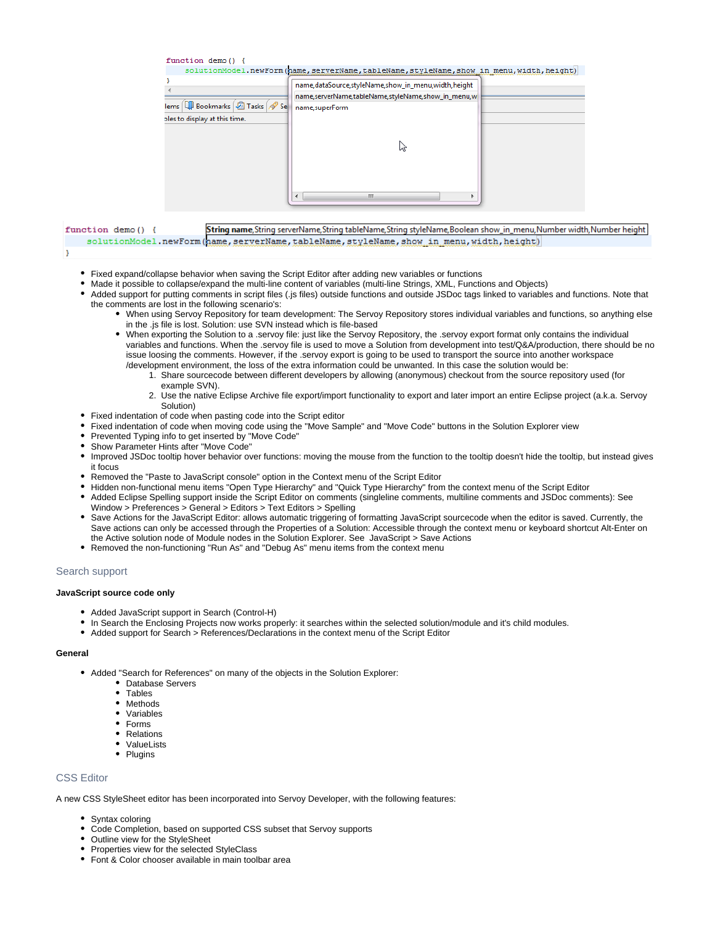|                   | function demo() {<br>lems   Bookmarks   2 Tasks   2 Se<br>ples to display at this time. | solutionModel.newForm(hame,serverName,tableName,styleName,show in menu,width,height)<br>name, dataSource, styleName, show_in_menu, width, height<br>name,serverName,tableName,styleName,show in menu,w<br>name, superForm |  |
|-------------------|-----------------------------------------------------------------------------------------|---------------------------------------------------------------------------------------------------------------------------------------------------------------------------------------------------------------------------|--|
|                   |                                                                                         | hť                                                                                                                                                                                                                        |  |
| function demo() { |                                                                                         | m.<br>String name, String serverName, String tableName, String styleName, Boolean show in menu, Number width, Number height                                                                                               |  |

solutionModel.newForm(name,serverName,tableName,styleName,show in menu,width,height)

- Fixed expand/collapse behavior when saving the Script Editor after adding new variables or functions
- Made it possible to collapse/expand the multi-line content of variables (multi-line Strings, XML, Functions and Objects)
- Added support for putting comments in script files (.js files) outside functions and outside JSDoc tags linked to variables and functions. Note that the comments are lost in the following scenario's:
	- When using Servoy Repository for team development: The Servoy Repository stores individual variables and functions, so anything else in the .js file is lost. Solution: use SVN instead which is file-based
	- When exporting the Solution to a .servoy file: just like the Servoy Repository, the .servoy export format only contains the individual variables and functions. When the .servoy file is used to move a Solution from development into test/Q&A/production, there should be no issue loosing the comments. However, if the .servoy export is going to be used to transport the source into another workspace /development environment, the loss of the extra information could be unwanted. In this case the solution would be:
		- 1. Share sourcecode between different developers by allowing (anonymous) checkout from the source repository used (for example SVN).
		- 2. Use the native Eclipse Archive file export/import functionality to export and later import an entire Eclipse project (a.k.a. Servoy Solution)
- Fixed indentation of code when pasting code into the Script editor
- Fixed indentation of code when moving code using the "Move Sample" and "Move Code" buttons in the Solution Explorer view
- Prevented Typing info to get inserted by "Move Code"
- Show Parameter Hints after "Move Code"
- Improved JSDoc tooltip hover behavior over functions: moving the mouse from the function to the tooltip doesn't hide the tooltip, but instead gives it focus
- Removed the "Paste to JavaScript console" option in the Context menu of the Script Editor
- Hidden non-functional menu items "Open Type Hierarchy" and "Quick Type Hierarchy" from the context menu of the Script Editor
- Added Eclipse Spelling support inside the Script Editor on comments (singleline comments, multiline comments and JSDoc comments): See Window > Preferences > General > Editors > Text Editors > Spelling
- Save Actions for the JavaScript Editor: allows automatic triggering of formatting JavaScript sourcecode when the editor is saved. Currently, the Save actions can only be accessed through the Properties of a Solution: Accessible through the context menu or keyboard shortcut Alt-Enter on the Active solution node of Module nodes in the Solution Explorer. See JavaScript > Save Actions
- Removed the non-functioning "Run As" and "Debug As" menu items from the context menu

# <span id="page-9-0"></span>Search support

# **JavaScript source code only**

- Added JavaScript support in Search (Control-H)
- In Search the Enclosing Projects now works properly: it searches within the selected solution/module and it's child modules.
- Added support for Search > References/Declarations in the context menu of the Script Editor

### **General**

<sup>1</sup>

- Added "Search for References" on many of the objects in the Solution Explorer:
	- Database Servers
	- Tables
	- Methods
	- Variables
	- Forms
	- Relations ValueLists
	- Plugins
	-

# <span id="page-9-1"></span>CSS Editor

A new CSS StyleSheet editor has been incorporated into Servoy Developer, with the following features:

- Syntax coloring
- Code Completion, based on supported CSS subset that Servoy supports
- Outline view for the StyleSheet
- Properties view for the selected StyleClass
- Font & Color chooser available in main toolbar area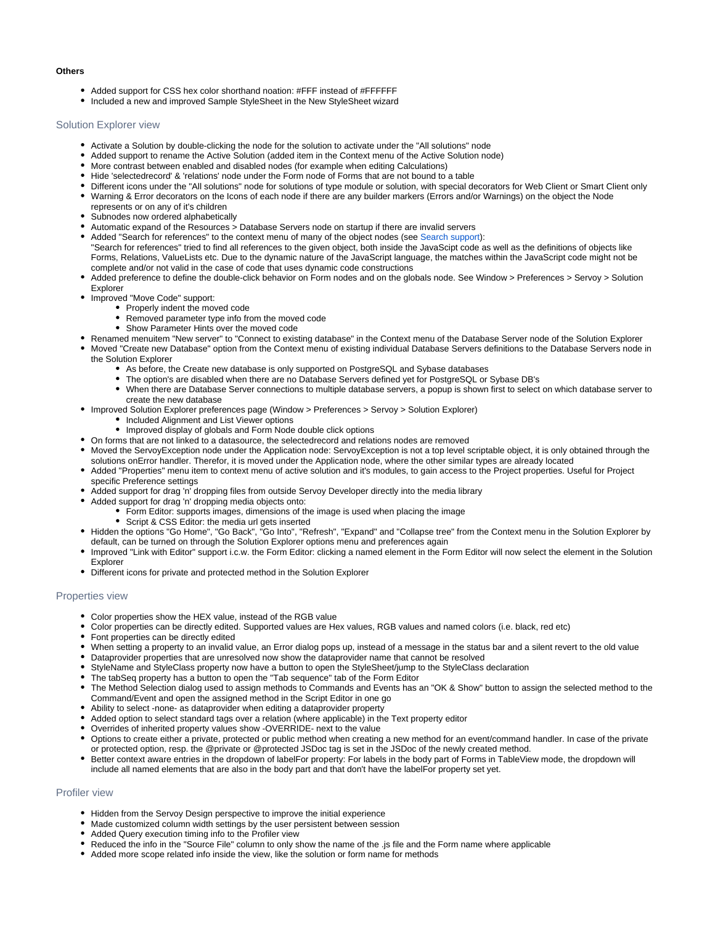### **Others**

- Added support for CSS hex color shorthand noation: #FFF instead of #FFFFFF
- Included a new and improved Sample StyleSheet in the New StyleSheet wizard

### <span id="page-10-0"></span>Solution Explorer view

- Activate a Solution by double-clicking the node for the solution to activate under the "All solutions" node
- Added support to rename the Active Solution (added item in the Context menu of the Active Solution node)
- More contrast between enabled and disabled nodes (for example when editing Calculations)
- Hide 'selectedrecord' & 'relations' node under the Form node of Forms that are not bound to a table
- Different icons under the "All solutions" node for solutions of type module or solution, with special decorators for Web Client or Smart Client only
- Warning & Error decorators on the Icons of each node if there are any builder markers (Errors and/or Warnings) on the object the Node represents or on any of it's children
- Subnodes now ordered alphabetically
- Automatic expand of the Resources > Database Servers node on startup if there are invalid servers
- Added "Search for references" to the context menu of many of the object nodes (see [Search support](#page-9-0)): "Search for references" tried to find all references to the given object, both inside the JavaScipt code as well as the definitions of objects like Forms, Relations, ValueLists etc. Due to the dynamic nature of the JavaScript language, the matches within the JavaScript code might not be complete and/or not valid in the case of code that uses dynamic code constructions
- Added preference to define the double-click behavior on Form nodes and on the globals node. See Window > Preferences > Servoy > Solution Explorer
- Improved "Move Code" support:
	- Properly indent the moved code
	- Removed parameter type info from the moved code
	- Show Parameter Hints over the moved code
- Renamed menuitem "New server" to "Connect to existing database" in the Context menu of the Database Server node of the Solution Explorer
- Moved "Create new Database" option from the Context menu of existing individual Database Servers definitions to the Database Servers node in the Solution Explorer
	- As before, the Create new database is only supported on PostgreSQL and Sybase databases
	- The option's are disabled when there are no Database Servers defined yet for PostgreSQL or Sybase DB's
	- When there are Database Server connections to multiple database servers, a popup is shown first to select on which database server to create the new database
- Improved Solution Explorer preferences page (Window > Preferences > Servoy > Solution Explorer)
	- Included Alignment and List Viewer options
	- $\bullet$  Improved display of globals and Form Node double click options
- On forms that are not linked to a datasource, the selectedrecord and relations nodes are removed
- Moved the ServoyException node under the Application node: ServoyException is not a top level scriptable object, it is only obtained through the solutions onError handler. Therefor, it is moved under the Application node, where the other similar types are already located
- Added "Properties" menu item to context menu of active solution and it's modules, to gain access to the Project properties. Useful for Project specific Preference settings
- Added support for drag 'n' dropping files from outside Servoy Developer directly into the media library
- Added support for drag 'n' dropping media objects onto:
	- Form Editor: supports images, dimensions of the image is used when placing the image
	- Script & CSS Editor: the media url gets inserted
- Hidden the options "Go Home", "Go Back", "Go Into", "Refresh", "Expand" and "Collapse tree" from the Context menu in the Solution Explorer by default, can be turned on through the Solution Explorer options menu and preferences again
- Improved "Link with Editor" support i.c.w. the Form Editor: clicking a named element in the Form Editor will now select the element in the Solution Explorer
- Different icons for private and protected method in the Solution Explorer

## <span id="page-10-1"></span>Properties view

- Color properties show the HEX value, instead of the RGB value
- Color properties can be directly edited. Supported values are Hex values, RGB values and named colors (i.e. black, red etc)
- Font properties can be directly edited
- When setting a property to an invalid value, an Error dialog pops up, instead of a message in the status bar and a silent revert to the old value
- Dataprovider properties that are unresolved now show the dataprovider name that cannot be resolved
- StyleName and StyleClass property now have a button to open the StyleSheet/jump to the StyleClass declaration
- The tabSeq property has a button to open the "Tab sequence" tab of the Form Editor
- The Method Selection dialog used to assign methods to Commands and Events has an "OK & Show" button to assign the selected method to the Command/Event and open the assigned method in the Script Editor in one go
- Ability to select -none- as dataprovider when editing a dataprovider property
- Added option to select standard tags over a relation (where applicable) in the Text property editor
- Overrides of inherited property values show -OVERRIDE- next to the value
- Options to create either a private, protected or public method when creating a new method for an event/command handler. In case of the private or protected option, resp. the @private or @protected JSDoc tag is set in the JSDoc of the newly created method.
- Better context aware entries in the dropdown of labelFor property: For labels in the body part of Forms in TableView mode, the dropdown will include all named elements that are also in the body part and that don't have the labelFor property set yet.

# <span id="page-10-2"></span>Profiler view

- Hidden from the Servoy Design perspective to improve the initial experience
- Made customized column width settings by the user persistent between session
- Added Query execution timing info to the Profiler view
- Reduced the info in the "Source File" column to only show the name of the .js file and the Form name where applicable
- <span id="page-10-3"></span>Added more scope related info inside the view, like the solution or form name for methods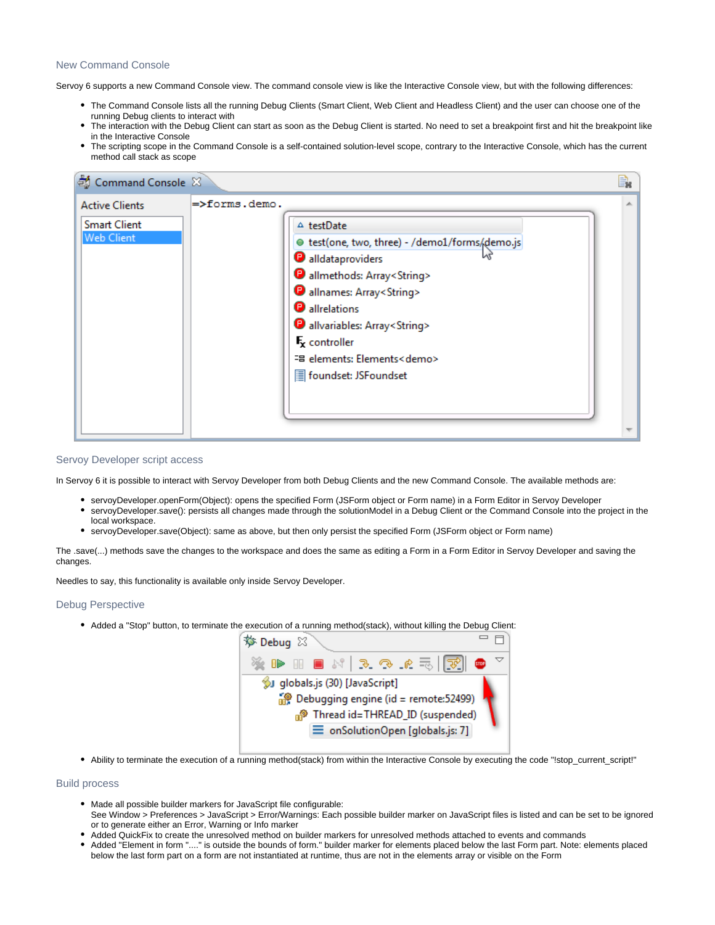# New Command Console

Servoy 6 supports a new Command Console view. The command console view is like the Interactive Console view, but with the following differences:

- The Command Console lists all the running Debug Clients (Smart Client, Web Client and Headless Client) and the user can choose one of the running Debug clients to interact with
- The interaction with the Debug Client can start as soon as the Debug Client is started. No need to set a breakpoint first and hit the breakpoint like in the Interactive Console
- The scripting scope in the Command Console is a self-contained solution-level scope, contrary to the Interactive Console, which has the current method call stack as scope

| $=$ >forms.demo.<br><b>Active Clients</b>                                                                                                                                                                                                                                                                                                                                                     | 5 Command Console 8 |  | B. |
|-----------------------------------------------------------------------------------------------------------------------------------------------------------------------------------------------------------------------------------------------------------------------------------------------------------------------------------------------------------------------------------------------|---------------------|--|----|
| <b>Smart Client</b><br>$\triangle$ testDate<br><b>Web Client</b><br>● test(one, two, three) - /demo1/forms/demo.js<br>alldataproviders<br><b>D</b> allmethods: Array <string><br/>allnames: Array<string><br/>allrelations<br/>allvariables: Array<string><br/><math>F_{\rm x}</math> controller<br/>- " elements: Elements<demo<br>foundset: JSFoundset</demo<br></string></string></string> |                     |  |    |

# <span id="page-11-0"></span>Servoy Developer script access

In Servoy 6 it is possible to interact with Servoy Developer from both Debug Clients and the new Command Console. The available methods are:

- servoyDeveloper.openForm(Object): opens the specified Form (JSForm object or Form name) in a Form Editor in Servoy Developer
- servoyDeveloper.save(): persists all changes made through the solutionModel in a Debug Client or the Command Console into the project in the local workspace.
- servoyDeveloper.save(Object): same as above, but then only persist the specified Form (JSForm object or Form name)

The .save(...) methods save the changes to the workspace and does the same as editing a Form in a Form Editor in Servoy Developer and saving the changes.

Needles to say, this functionality is available only inside Servoy Developer.

# <span id="page-11-1"></span>Debug Perspective

Added a "Stop" button, to terminate the execution of a running method(stack), without killing the Debug Client:

| <b>炒 Debug</b> ⊠                                                                       |  |                                  |  |  |  |  |  |     |  |
|----------------------------------------------------------------------------------------|--|----------------------------------|--|--|--|--|--|-----|--|
| ※ D H B N   R Q C H H   R                                                              |  |                                  |  |  |  |  |  | 500 |  |
|                                                                                        |  | SJ globals.js (30) [JavaScript]  |  |  |  |  |  |     |  |
| Debugging engine (id = remote:52499)<br>n <sup>®</sup> Thread id=THREAD_ID (suspended) |  |                                  |  |  |  |  |  |     |  |
|                                                                                        |  | = onSolutionOpen [globals.js: 7] |  |  |  |  |  |     |  |

• Ability to terminate the execution of a running method(stack) from within the Interactive Console by executing the code "!stop\_current\_script!"

# <span id="page-11-2"></span>Build process

- Made all possible builder markers for JavaScript file configurable:
- See Window > Preferences > JavaScript > Error/Warnings: Each possible builder marker on JavaScript files is listed and can be set to be ignored or to generate either an Error, Warning or Info marker
- Added QuickFix to create the unresolved method on builder markers for unresolved methods attached to events and commands
- Added "Element in form "...." is outside the bounds of form." builder marker for elements placed below the last Form part. Note: elements placed below the last form part on a form are not instantiated at runtime, thus are not in the elements array or visible on the Form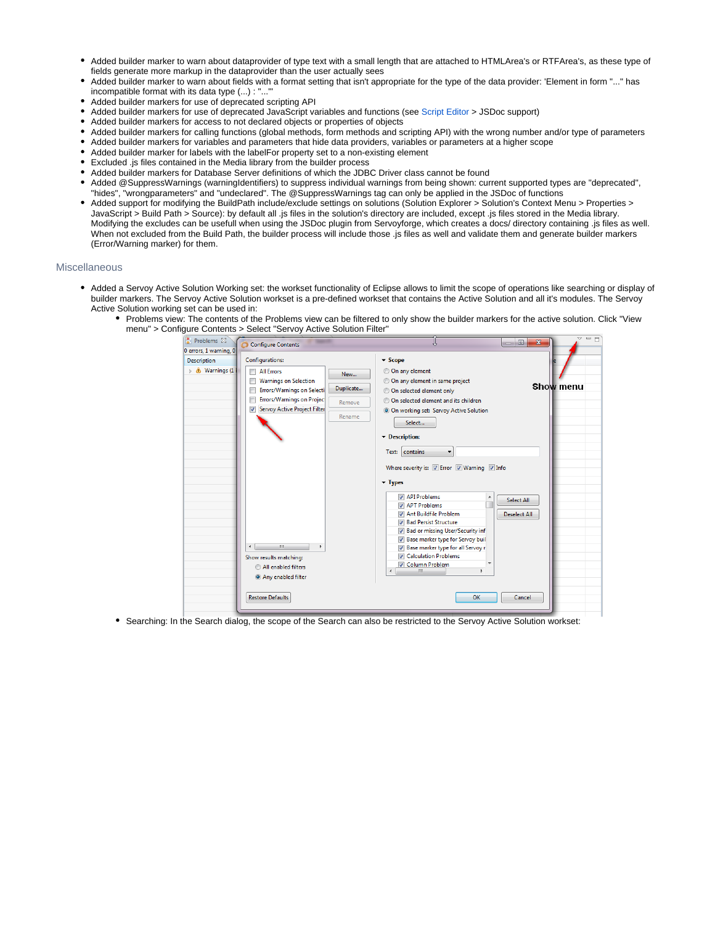- Added builder marker to warn about dataprovider of type text with a small length that are attached to HTMLArea's or RTFArea's, as these type of fields generate more markup in the dataprovider than the user actually sees
- Added builder marker to warn about fields with a format setting that isn't appropriate for the type of the data provider: 'Element in form "..." has incompatible format with its data type (...) : "..."'
- Added builder markers for use of deprecated scripting API  $\bullet$
- Added builder markers for use of deprecated JavaScript variables and functions (see [Script Editor](#page-5-0) > JSDoc support)
- Added builder markers for access to not declared objects or properties of objects
- Added builder markers for calling functions (global methods, form methods and scripting API) with the wrong number and/or type of parameters
- Added builder markers for variables and parameters that hide data providers, variables or parameters at a higher scope
- Added builder marker for labels with the labelFor property set to a non-existing element
- Excluded .js files contained in the Media library from the builder process
- Added builder markers for Database Server definitions of which the JDBC Driver class cannot be found
- Added @SuppressWarnings (warningIdentifiers) to suppress individual warnings from being shown: current supported types are "deprecated", "hides", "wrongparameters" and "undeclared". The @SuppressWarnings tag can only be applied in the JSDoc of functions
- Added support for modifying the BuildPath include/exclude settings on solutions (Solution Explorer > Solution's Context Menu > Properties > JavaScript > Build Path > Source): by default all .js files in the solution's directory are included, except .js files stored in the Media library. Modifying the excludes can be usefull when using the JSDoc plugin from Servoyforge, which creates a docs/ directory containing .js files as well. When not excluded from the Build Path, the builder process will include those .js files as well and validate them and generate builder markers (Error/Warning marker) for them.

### <span id="page-12-0"></span>Miscellaneous

- Added a Servoy Active Solution Working set: the workset functionality of Eclipse allows to limit the scope of operations like searching or display of builder markers. The Servoy Active Solution workset is a pre-defined workset that contains the Active Solution and all it's modules. The Servoy Active Solution working set can be used in:
	- Problems view: The contents of the Problems view can be filtered to only show the builder markers for the active solution. Click "View menu" > Configure Contents > Select "Servoy Active Solution Filter"



Searching: In the Search dialog, the scope of the Search can also be restricted to the Servoy Active Solution workset: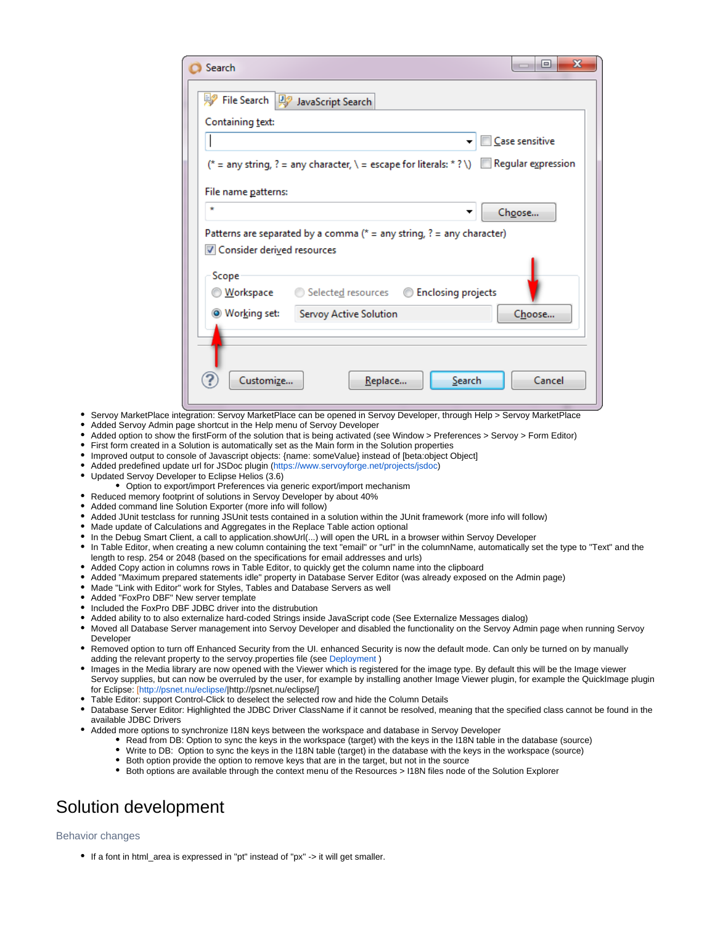| Search                                                                                                   |                               |                           | x<br>▣                                                                                    |
|----------------------------------------------------------------------------------------------------------|-------------------------------|---------------------------|-------------------------------------------------------------------------------------------|
| → File Search   贝?                                                                                       | JavaScript Search             |                           |                                                                                           |
| Containing text:                                                                                         |                               |                           |                                                                                           |
|                                                                                                          |                               |                           | Case sensitive                                                                            |
|                                                                                                          |                               |                           | (* = any string, ? = any character, \ = escape for literals: * ? \) In Regular expression |
| File name patterns:                                                                                      |                               |                           |                                                                                           |
| $\star$                                                                                                  |                               |                           | Choose                                                                                    |
|                                                                                                          |                               |                           |                                                                                           |
| Patterns are separated by a comma ( $* =$ any string, $? =$ any character)<br>Consider derived resources |                               |                           |                                                                                           |
|                                                                                                          |                               |                           |                                                                                           |
| Scope<br>◎ <u>W</u> orkspace                                                                             | Selected resources ©          | <b>Enclosing projects</b> |                                                                                           |
| Working set:                                                                                             | <b>Servoy Active Solution</b> |                           | Choose                                                                                    |
|                                                                                                          |                               |                           |                                                                                           |
|                                                                                                          |                               |                           |                                                                                           |
| Customize                                                                                                | Replace                       | Search                    | Cancel                                                                                    |

- Servoy MarketPlace integration: Servoy MarketPlace can be opened in Servoy Developer, through Help > Servoy MarketPlace
- Added Servoy Admin page shortcut in the Help menu of Servoy Developer
- Added option to show the firstForm of the solution that is being activated (see Window > Preferences > Servoy > Form Editor)
- First form created in a Solution is automatically set as the Main form in the Solution properties
- Improved output to console of Javascript objects: {name: someValue} instead of [beta:object Object]
- Added predefined update url for JSDoc plugin [\(https://www.servoyforge.net/projects/jsdoc\)](https://www.servoyforge.net/projects/jsdoc)
- Updated Servoy Developer to Eclipse Helios (3.6)
	- Option to export/import Preferences via generic export/import mechanism
- Reduced memory footprint of solutions in Servoy Developer by about 40%
- Added command line Solution Exporter (more info will follow)
- Added JUnit testclass for running JSUnit tests contained in a solution within the JUnit framework (more info will follow)
- Made update of Calculations and Aggregates in the Replace Table action optional
- In the Debug Smart Client, a call to application.showUrl(...) will open the URL in a browser within Servoy Developer
- In Table Editor, when creating a new column containing the text "email" or "url" in the columnName, automatically set the type to "Text" and the length to resp. 254 or 2048 (based on the specifications for email addresses and urls)
- Added Copy action in columns rows in Table Editor, to quickly get the column name into the clipboard
- Added "Maximum prepared statements idle" property in Database Server Editor (was already exposed on the Admin page)
- Made "Link with Editor" work for Styles, Tables and Database Servers as well
- Added "FoxPro DBF" New server template
- Included the FoxPro DBF JDBC driver into the distrubution
- Added ability to to also externalize hard-coded Strings inside JavaScript code (See Externalize Messages dialog)
- Moved all Database Server management into Servoy Developer and disabled the functionality on the Servoy Admin page when running Servoy Developer
- Removed option to turn off Enhanced Security from the UI. enhanced Security is now the default mode. Can only be turned on by manually adding the relevant property to the servoy.properties file (see [Deployment](#page-22-0) )
- Images in the Media library are now opened with the Viewer which is registered for the image type. By default this will be the Image viewer Servoy supplies, but can now be overruled by the user, for example by installing another Image Viewer plugin, for example the QuickImage plugin for Eclipse: [\[http://psnet.nu/eclipse/](http://psnet.nu/eclipse/)|http://psnet.nu/eclipse/]
- Table Editor: support Control-Click to deselect the selected row and hide the Column Details
- Database Server Editor: Highlighted the JDBC Driver ClassName if it cannot be resolved, meaning that the specified class cannot be found in the available JDBC Drivers
	- Added more options to synchronize I18N keys between the workspace and database in Servoy Developer
		- Read from DB: Option to sync the keys in the workspace (target) with the keys in the I18N table in the database (source)
		- Write to DB: Option to sync the keys in the I18N table (target) in the database with the keys in the workspace (source)
			- Both option provide the option to remove keys that are in the target, but not in the source
			- Both options are available through the context menu of the Resources > I18N files node of the Solution Explorer

# <span id="page-13-0"></span>Solution development

# <span id="page-13-1"></span>Behavior changes

• If a font in html area is expressed in "pt" instead of "px" -> it will get smaller.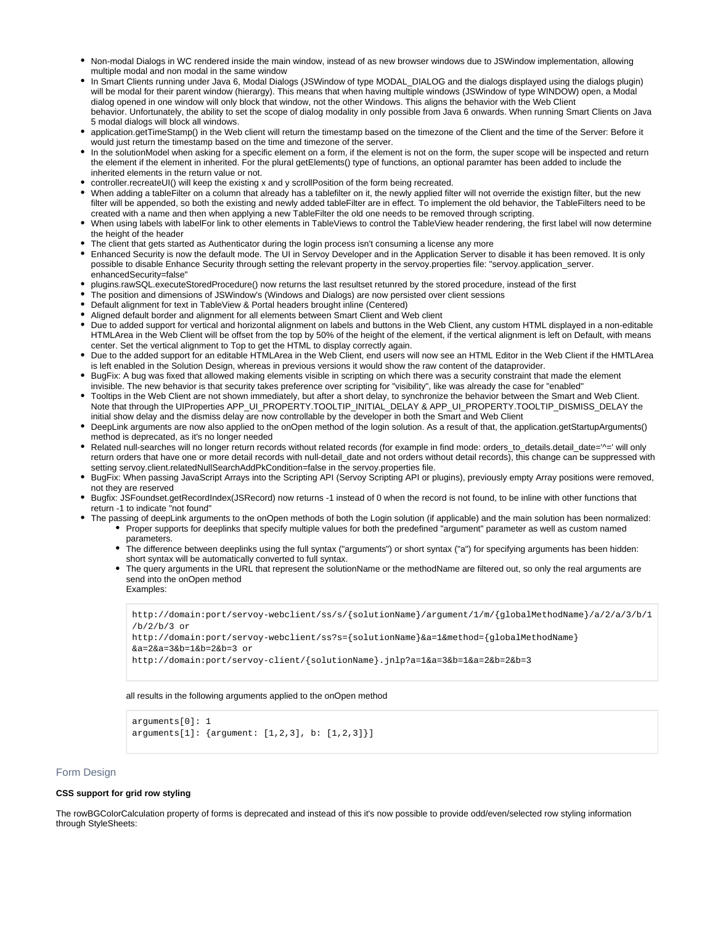- Non-modal Dialogs in WC rendered inside the main window, instead of as new browser windows due to JSWindow implementation, allowing multiple modal and non modal in the same window
- In Smart Clients running under Java 6, Modal Dialogs (JSWindow of type MODAL DIALOG and the dialogs displayed using the dialogs plugin) will be modal for their parent window (hierargy). This means that when having multiple windows (JSWindow of type WINDOW) open, a Modal dialog opened in one window will only block that window, not the other Windows. This aligns the behavior with the Web Client behavior. Unfortunately, the ability to set the scope of dialog modality in only possible from Java 6 onwards. When running Smart Clients on Java 5 modal dialogs will block all windows.
- application.getTimeStamp() in the Web client will return the timestamp based on the timezone of the Client and the time of the Server: Before it would just return the timestamp based on the time and timezone of the server.
- In the solutionModel when asking for a specific element on a form, if the element is not on the form, the super scope will be inspected and return the element if the element in inherited. For the plural getElements() type of functions, an optional paramter has been added to include the inherited elements in the return value or not.
- controller.recreateUI() will keep the existing x and y scrollPosition of the form being recreated.
- When adding a tableFilter on a column that already has a tablefilter on it, the newly applied filter will not override the existign filter, but the new filter will be appended, so both the existing and newly added tableFilter are in effect. To implement the old behavior, the TableFilters need to be created with a name and then when applying a new TableFilter the old one needs to be removed through scripting.
- When using labels with labelFor link to other elements in TableViews to control the TableView header rendering, the first label will now determine the height of the header
- The client that gets started as Authenticator during the login process isn't consuming a license any more
- Enhanced Security is now the default mode. The UI in Servoy Developer and in the Application Server to disable it has been removed. It is only possible to disable Enhance Security through setting the relevant property in the servoy.properties file: "servoy.application\_server. enhancedSecurity=false"
- plugins.rawSQL.executeStoredProcedure() now returns the last resultset retunred by the stored procedure, instead of the first
- The position and dimensions of JSWindow's (Windows and Dialogs) are now persisted over client sessions
- Default alignment for text in TableView & Portal headers brought inline (Centered)
- Aligned default border and alignment for all elements between Smart Client and Web client
- Due to added support for vertical and horizontal alignment on labels and buttons in the Web Client, any custom HTML displayed in a non-editable HTMLArea in the Web Client will be offset from the top by 50% of the height of the element, if the vertical alignment is left on Default, with means center. Set the vertical alignment to Top to get the HTML to display correctly again.
- Due to the added support for an editable HTMLArea in the Web Client, end users will now see an HTML Editor in the Web Client if the HMTLArea is left enabled in the Solution Design, whereas in previous versions it would show the raw content of the dataprovider.
- **BugFix: A bug was fixed that allowed making elements visible in scripting on which there was a security constraint that made the element** invisible. The new behavior is that security takes preference over scripting for "visibility", like was already the case for "enabled"
- Tooltips in the Web Client are not shown immediately, but after a short delay, to synchronize the behavior between the Smart and Web Client. Note that through the UIProperties APP\_UI\_PROPERTY.TOOLTIP\_INITIAL\_DELAY & APP\_UI\_PROPERTY.TOOLTIP\_DISMISS\_DELAY the initial show delay and the dismiss delay are now controllable by the developer in both the Smart and Web Client
- DeepLink arguments are now also applied to the onOpen method of the login solution. As a result of that, the application.getStartupArguments() method is deprecated, as it's no longer needed
- Related null-searches will no longer return records without related records (for example in find mode: orders\_to\_details.detail\_date='^=' will only return orders that have one or more detail records with null-detail\_date and not orders without detail records), this change can be suppressed with setting servoy.client.relatedNullSearchAddPkCondition=false in the servoy.properties file.
- BugFix: When passing JavaScript Arrays into the Scripting API (Servoy Scripting API or plugins), previously empty Array positions were removed, not they are reserved
- **Bugfix: JSFoundset.getRecordIndex(JSRecord) now returns -1 instead of 0 when the record is not found, to be inline with other functions that** return -1 to indicate "not found"
- The passing of deepLink arguments to the onOpen methods of both the Login solution (if applicable) and the main solution has been normalized: Proper supports for deeplinks that specify multiple values for both the predefined "argument" parameter as well as custom named
	- parameters. The difference between deeplinks using the full syntax ("arguments") or short syntax ("a") for specifying arguments has been hidden: short syntax will be automatically converted to full syntax.
	- The query arguments in the URL that represent the solutionName or the methodName are filtered out, so only the real arguments are send into the onOpen method

Examples:

http://domain:port/servoy-webclient/ss/s/{solutionName}/argument/1/m/{globalMethodName}/a/2/a/3/b/1 /b/2/b/3 or

```
http://domain:port/servoy-webclient/ss?s={solutionName}&a=1&method={globalMethodName}
&a=2&a=3&b=1&b=2&b=3 or
```

```
http://domain:port/servoy-client/{solutionName}.jnlp?a=1&a=3&b=1&a=2&b=2&b=3
```
### all results in the following arguments applied to the onOpen method

```
arguments[0]: 1
arguments[1]: {argument: [1,2,3], b: [1,2,3]}]
```
## <span id="page-14-0"></span>Form Design

### **CSS support for grid row styling**

The rowBGColorCalculation property of forms is deprecated and instead of this it's now possible to provide odd/even/selected row styling information through StyleSheets: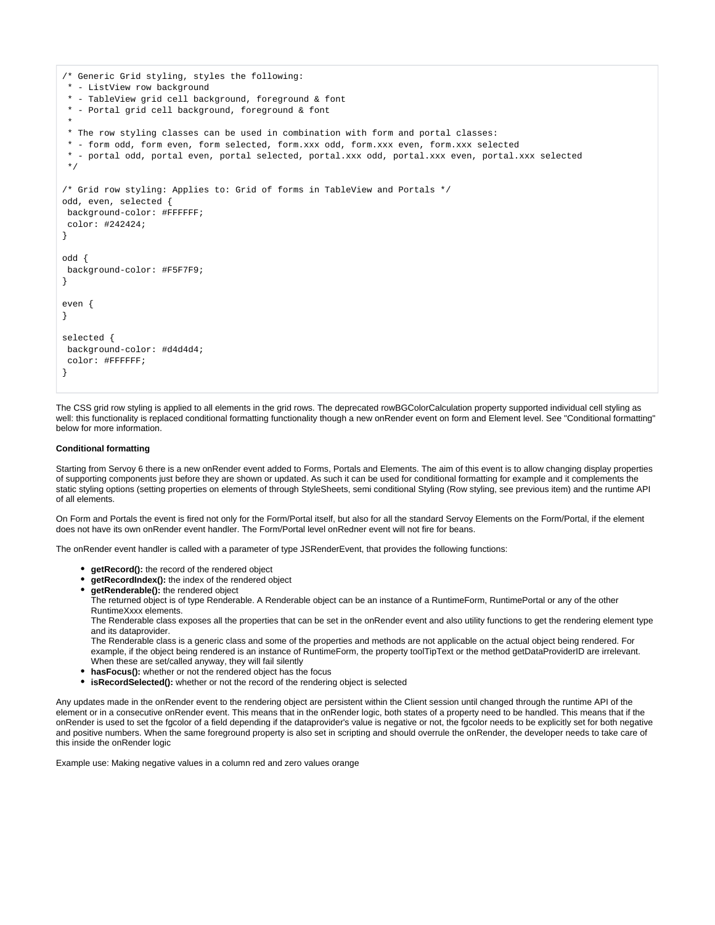```
/* Generic Grid styling, styles the following:
 * - ListView row background
 * - TableView grid cell background, foreground & font
  * - Portal grid cell background, foreground & font
 *
 * The row styling classes can be used in combination with form and portal classes:
 * - form odd, form even, form selected, form.xxx odd, form.xxx even, form.xxx selected
 * - portal odd, portal even, portal selected, portal.xxx odd, portal.xxx even, portal.xxx selected
  */
/* Grid row styling: Applies to: Grid of forms in TableView and Portals */
odd, even, selected {
 background-color: #FFFFFF;
 color: #242424;
}
odd {
 background-color: #F5F7F9;
}
even {
}
selected {
 background-color: #d4d4d4;
 color: #FFFFFF;
}
```
The CSS grid row styling is applied to all elements in the grid rows. The deprecated rowBGColorCalculation property supported individual cell styling as well: this functionality is replaced conditional formatting functionality though a new onRender event on form and Element level. See "Conditional formatting" below for more information.

### **Conditional formatting**

Starting from Servoy 6 there is a new onRender event added to Forms, Portals and Elements. The aim of this event is to allow changing display properties of supporting components just before they are shown or updated. As such it can be used for conditional formatting for example and it complements the static styling options (setting properties on elements of through StyleSheets, semi conditional Styling (Row styling, see previous item) and the runtime API of all elements.

On Form and Portals the event is fired not only for the Form/Portal itself, but also for all the standard Servoy Elements on the Form/Portal, if the element does not have its own onRender event handler. The Form/Portal level onRedner event will not fire for beans.

The onRender event handler is called with a parameter of type JSRenderEvent, that provides the following functions:

- **getRecord():** the record of the rendered object
- **getRecordIndex():** the index of the rendered object
- **getRenderable():** the rendered object

The returned object is of type Renderable. A Renderable object can be an instance of a RuntimeForm, RuntimePortal or any of the other RuntimeXxxx elements.

The Renderable class exposes all the properties that can be set in the onRender event and also utility functions to get the rendering element type and its dataprovider.

The Renderable class is a generic class and some of the properties and methods are not applicable on the actual object being rendered. For example, if the object being rendered is an instance of RuntimeForm, the property toolTipText or the method getDataProviderID are irrelevant. When these are set/called anyway, they will fail silently

- **hasFocus():** whether or not the rendered object has the focus
- **isRecordSelected():** whether or not the record of the rendering object is selected

Any updates made in the onRender event to the rendering object are persistent within the Client session until changed through the runtime API of the element or in a consecutive onRender event. This means that in the onRender logic, both states of a property need to be handled. This means that if the onRender is used to set the fgcolor of a field depending if the dataprovider's value is negative or not, the fgcolor needs to be explicitly set for both negative and positive numbers. When the same foreground property is also set in scripting and should overrule the onRender, the developer needs to take care of this inside the onRender logic

Example use: Making negative values in a column red and zero values orange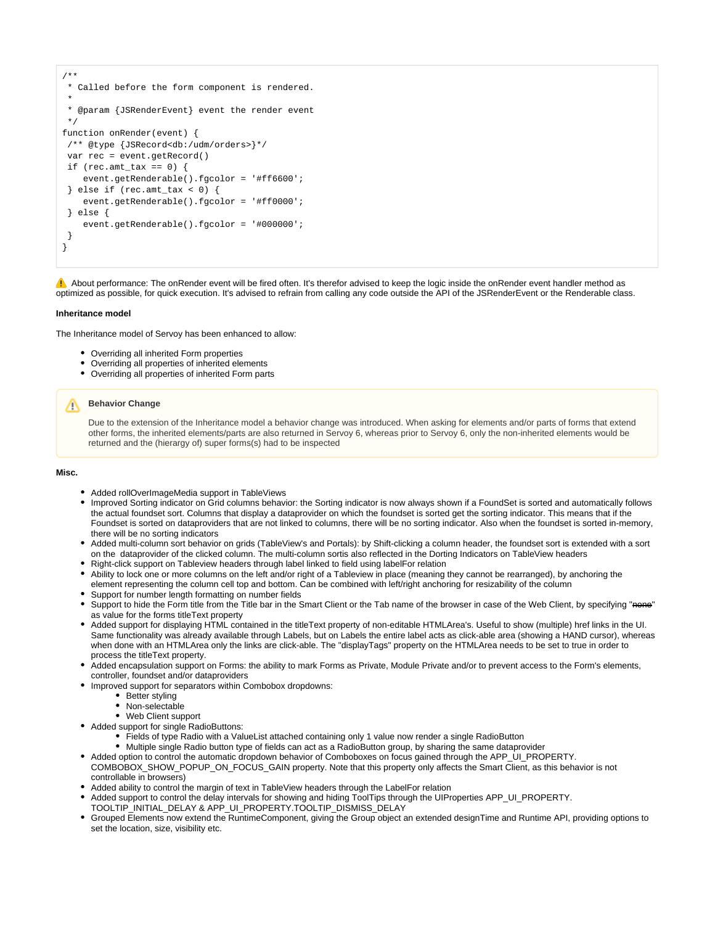```
/**
 * Called before the form component is rendered.
 *
 * @param {JSRenderEvent} event the render event
 */
function onRender(event) {
 /** @type {JSRecord<db:/udm/orders>}*/
 var rec = event.getRecord()
if (\text{rec amt}\_\text{tax} == 0) {
     event.getRenderable().fgcolor = '#ff6600';
  } else if (rec.amt_tax < 0) {
     event.getRenderable().fgcolor = '#ff0000';
 } else {
     event.getRenderable().fgcolor = '#000000'; 
 }
}
```
A About performance: The onRender event will be fired often. It's therefor advised to keep the logic inside the onRender event handler method as optimized as possible, for quick execution. It's advised to refrain from calling any code outside the API of the JSRenderEvent or the Renderable class.

### **Inheritance model**

The Inheritance model of Servoy has been enhanced to allow:

- Overriding all inherited Form properties
- Overriding all properties of inherited elements
- Overriding all properties of inherited Form parts

# **Behavior Change**

Due to the extension of the Inheritance model a behavior change was introduced. When asking for elements and/or parts of forms that extend other forms, the inherited elements/parts are also returned in Servoy 6, whereas prior to Servoy 6, only the non-inherited elements would be returned and the (hierargy of) super forms(s) had to be inspected

### **Misc.**

- Added rollOverImageMedia support in TableViews
- Improved Sorting indicator on Grid columns behavior: the Sorting indicator is now always shown if a FoundSet is sorted and automatically follows the actual foundset sort. Columns that display a dataprovider on which the foundset is sorted get the sorting indicator. This means that if the Foundset is sorted on dataproviders that are not linked to columns, there will be no sorting indicator. Also when the foundset is sorted in-memory, there will be no sorting indicators
- Added multi-column sort behavior on grids (TableView's and Portals): by Shift-clicking a column header, the foundset sort is extended with a sort on the dataprovider of the clicked column. The multi-column sortis also reflected in the Dorting Indicators on TableView headers
- Right-click support on Tableview headers through label linked to field using labelFor relation
- Ability to lock one or more columns on the left and/or right of a Tableview in place (meaning they cannot be rearranged), by anchoring the element representing the column cell top and bottom. Can be combined with left/right anchoring for resizability of the column Support for number length formatting on number fields
- Support to hide the Form title from the Title bar in the Smart Client or the Tab name of the browser in case of the Web Client, by specifying "none" as value for the forms titleText property
- Added support for displaying HTML contained in the titleText property of non-editable HTMLArea's. Useful to show (multiple) href links in the UI. Same functionality was already available through Labels, but on Labels the entire label acts as click-able area (showing a HAND cursor), whereas when done with an HTMLArea only the links are click-able. The "displayTags" property on the HTMLArea needs to be set to true in order to process the titleText property.
- Added encapsulation support on Forms: the ability to mark Forms as Private, Module Private and/or to prevent access to the Form's elements, controller, foundset and/or dataproviders
- Improved support for separators within Combobox dropdowns:
	- Better styling
	- Non-selectable
	- Web Client support
- Added support for single RadioButtons:
	- Fields of type Radio with a ValueList attached containing only 1 value now render a single RadioButton
	- Multiple single Radio button type of fields can act as a RadioButton group, by sharing the same dataprovider
- Added option to control the automatic dropdown behavior of Comboboxes on focus gained through the APP\_UI\_PROPERTY. COMBOBOX\_SHOW\_POPUP\_ON\_FOCUS\_GAIN property. Note that this property only affects the Smart Client, as this behavior is not controllable in browsers)
- Added ability to control the margin of text in TableView headers through the LabelFor relation
- Added support to control the delay intervals for showing and hiding ToolTips through the UIProperties APP\_UI\_PROPERTY.
- TOOLTIP\_INITIAL\_DELAY & APP\_UI\_PROPERTY.TOOLTIP\_DISMISS\_DELAY
- Grouped Elements now extend the RuntimeComponent, giving the Group object an extended designTime and Runtime API, providing options to set the location, size, visibility etc.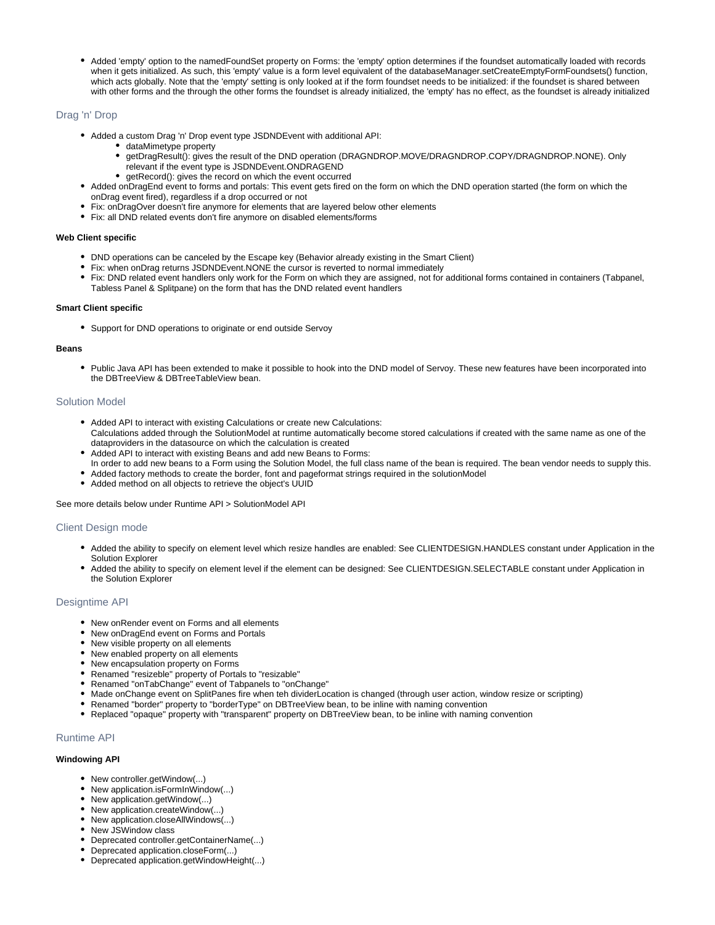Added 'empty' option to the namedFoundSet property on Forms: the 'empty' option determines if the foundset automatically loaded with records when it gets initialized. As such, this 'empty' value is a form level equivalent of the databaseManager.setCreateEmptyFormFoundsets() function, which acts globally. Note that the 'empty' setting is only looked at if the form foundset needs to be initialized: if the foundset is shared between with other forms and the through the other forms the foundset is already initialized, the 'empty' has no effect, as the foundset is already initialized

# <span id="page-17-0"></span>Drag 'n' Drop

- Added a custom Drag 'n' Drop event type JSDNDEvent with additional API:
	- dataMimetype property
	- getDragResult(): gives the result of the DND operation (DRAGNDROP.MOVE/DRAGNDROP.COPY/DRAGNDROP.NONE). Only relevant if the event type is JSDNDEvent.ONDRAGEND
	- getRecord(): gives the record on which the event occurred
- Added onDragEnd event to forms and portals: This event gets fired on the form on which the DND operation started (the form on which the onDrag event fired), regardless if a drop occurred or not
- Fix: onDragOver doesn't fire anymore for elements that are layered below other elements
- Fix: all DND related events don't fire anymore on disabled elements/forms

### **Web Client specific**

- DND operations can be canceled by the Escape key (Behavior already existing in the Smart Client)
- Fix: when onDrag returns JSDNDEvent.NONE the cursor is reverted to normal immediately
- Fix: DND related event handlers only work for the Form on which they are assigned, not for additional forms contained in containers (Tabpanel, Tabless Panel & Splitpane) on the form that has the DND related event handlers

### **Smart Client specific**

Support for DND operations to originate or end outside Servoy

### **Beans**

• Public Java API has been extended to make it possible to hook into the DND model of Servoy. These new features have been incorporated into the DBTreeView & DBTreeTableView bean.

### <span id="page-17-1"></span>Solution Model

- Added API to interact with existing Calculations or create new Calculations: Calculations added through the SolutionModel at runtime automatically become stored calculations if created with the same name as one of the
- dataproviders in the datasource on which the calculation is created Added API to interact with existing Beans and add new Beans to Forms:
- In order to add new beans to a Form using the Solution Model, the full class name of the bean is required. The bean vendor needs to supply this.
- Added factory methods to create the border, font and pageformat strings required in the solutionModel
- Added method on all objects to retrieve the object's UUID

See more details below under Runtime API > SolutionModel API

# <span id="page-17-2"></span>Client Design mode

- Added the ability to specify on element level which resize handles are enabled: See CLIENTDESIGN.HANDLES constant under Application in the Solution Explorer
- Added the ability to specify on element level if the element can be designed: See CLIENTDESIGN.SELECTABLE constant under Application in the Solution Explorer

### <span id="page-17-3"></span>Designtime API

- New onRender event on Forms and all elements
- New onDragEnd event on Forms and Portals
- New visible property on all elements
- New enabled property on all elements
- New encapsulation property on Forms
- Renamed "resizeble" property of Portals to "resizable"
- Renamed "onTabChange" event of Tabpanels to "onChange"
- Made onChange event on SplitPanes fire when teh dividerLocation is changed (through user action, window resize or scripting)
- Renamed "border" property to "borderType" on DBTreeView bean, to be inline with naming convention
- Replaced "opaque" property with "transparent" property on DBTreeView bean, to be inline with naming convention

# <span id="page-17-4"></span>Runtime API

## **Windowing API**

- New controller.getWindow(...)
- New application.isFormInWindow(...)
- New application.getWindow(...)
- New application.createWindow(...)
- New application.closeAllWindows(...)
- New JSWindow class
- Deprecated controller.getContainerName(...)
- Deprecated application.closeForm(...)
- Deprecated application.getWindowHeight(...)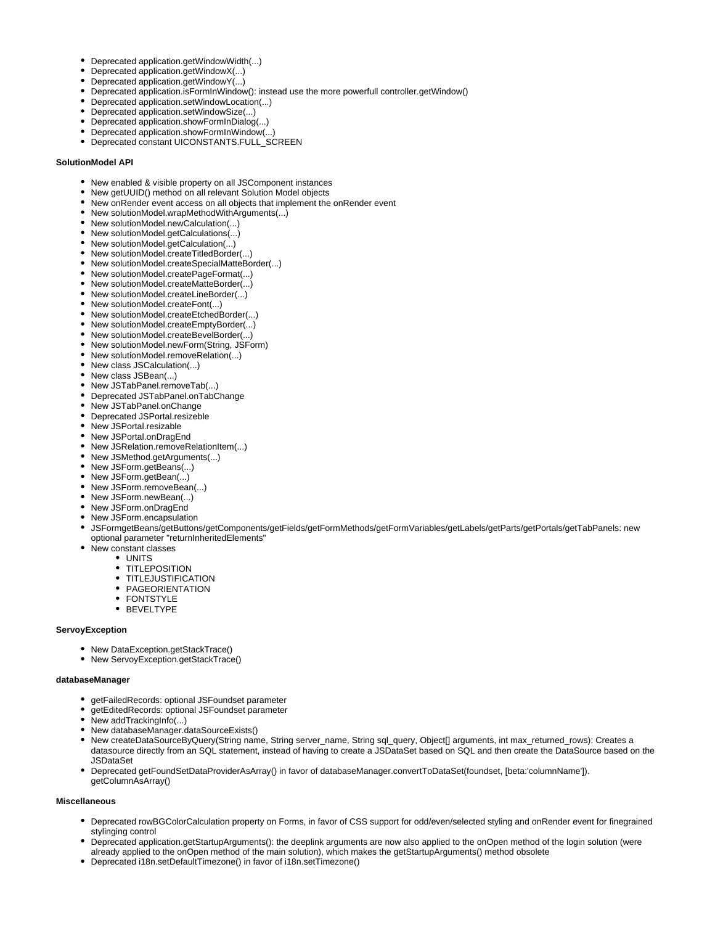- Deprecated application.getWindowWidth(...)
- Deprecated application.getWindowX(...)
- Deprecated application.getWindowY(...)
- Deprecated application.isFormInWindow(): instead use the more powerfull controller.getWindow()
- Deprecated application.setWindowLocation(...)
- Deprecated application.setWindowSize(...)
- Deprecated application.showFormInDialog(...)
- Deprecated application.showFormInWindow(...)
- Deprecated constant UICONSTANTS.FULL\_SCREEN

### **SolutionModel API**

- New enabled & visible property on all JSComponent instances
- New getUUID() method on all relevant Solution Model objects
- New onRender event access on all objects that implement the onRender event
- New solutionModel.wrapMethodWithArguments(...)
- New solutionModel.newCalculation(...)
- New solutionModel.getCalculations(...)
- New solutionModel.getCalculation(...)
- New solutionModel.createTitledBorder(...)
- New solutionModel.createSpecialMatteBorder(...)
- New solutionModel.createPageFormat(...)
- New solutionModel.createMatteBorder(...)
- New solutionModel.createLineBorder(...)
- New solutionModel.createFont(...)
- New solutionModel.createEtchedBorder(...)
- New solutionModel.createEmptyBorder(...)
- New solutionModel.createBevelBorder(...)
- New solutionModel.newForm(String, JSForm)
- New solutionModel.removeRelation(...)
- New class JSCalculation(...)
- New class JSBean(...)
- New JSTabPanel.removeTab(...)
- Deprecated JSTabPanel.onTabChange
- New JSTabPanel.onChange
- Deprecated JSPortal.resizeble
- New JSPortal.resizable
- New JSPortal.onDragEnd
- New JSRelation.removeRelationItem(...)
- New JSMethod.getArguments(...)
- New JSForm.getBeans(...)
- New JSForm.getBean(...)
- New JSForm.removeBean(...)
- New JSForm.newBean(...)
- New JSForm.onDragEnd
- New JSForm.encapsulation
- JSFormgetBeans/getButtons/getComponents/getFields/getFormMethods/getFormVariables/getLabels/getParts/getPortals/getTabPanels: new optional parameter "returnInheritedElements"
- New constant classes
	- UNITS
	- **TITLEPOSITION**
	- **TITLEJUSTIFICATION**
	- PAGEORIENTATION
	- FONTSTYLE
	- BEVELTYPE

### **ServoyException**

- New DataException.getStackTrace()
- New ServoyException.getStackTrace()

### **databaseManager**

- getFailedRecords: optional JSFoundset parameter
- getEditedRecords: optional JSFoundset parameter
- New addTrackingInfo(...)
- New databaseManager.dataSourceExists()
- New createDataSourceByQuery(String name, String server\_name, String sql\_query, Object[] arguments, int max\_returned\_rows): Creates a datasource directly from an SQL statement, instead of having to create a JSDataSet based on SQL and then create the DataSource based on the JSDataSet
- Deprecated getFoundSetDataProviderAsArray() in favor of databaseManager.convertToDataSet(foundset, [beta:'columnName']). getColumnAsArray()

# **Miscellaneous**

- Deprecated rowBGColorCalculation property on Forms, in favor of CSS support for odd/even/selected styling and onRender event for finegrained stylinging control
- Deprecated application.getStartupArguments(): the deeplink arguments are now also applied to the onOpen method of the login solution (were already applied to the onOpen method of the main solution), which makes the getStartupArguments() method obsolete
- Deprecated i18n.setDefaultTimezone() in favor of i18n.setTimezone()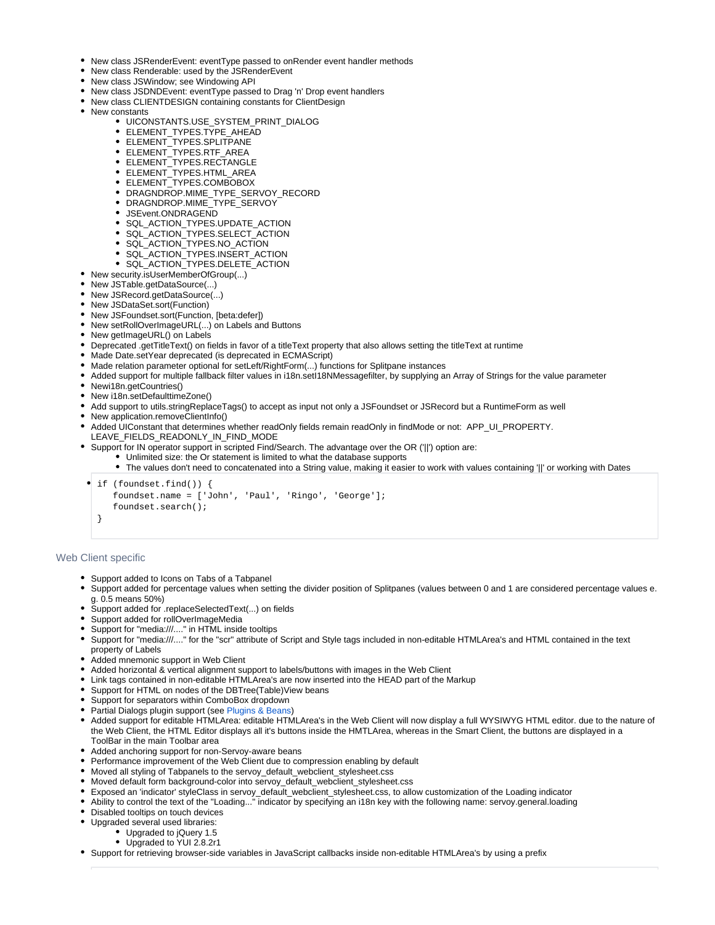- New class JSRenderEvent: eventType passed to onRender event handler methods
- New class Renderable: used by the JSRenderEvent
- New class JSWindow; see Windowing API
- New class JSDNDEvent: eventType passed to Drag 'n' Drop event handlers
- New class CLIENTDESIGN containing constants for ClientDesign
- New constants
	- UICONSTANTS.USE\_SYSTEM\_PRINT\_DIALOG
	- ELEMENT\_TYPES.TYPE\_AHEAD
	- ELEMENT\_TYPES.SPLITPANE
	- ELEMENT\_TYPES.RTF\_AREA
	- ELEMENT TYPES.RECTANGLE
	- ELEMENT\_TYPES.HTML\_AREA
	- ELEMENT\_TYPES.COMBOBOX
	- DRAGNDROP.MIME\_TYPE\_SERVOY\_RECORD
	- DRAGNDROP.MIME\_TYPE\_SERVOY
	- JSEvent.ONDRAGEND
	- SQL\_ACTION\_TYPES.UPDATE\_ACTION
	- SQL\_ACTION\_TYPES.SELECT\_ACTION
	- SQL\_ACTION\_TYPES.NO\_ACTION
	- SQL\_ACTION\_TYPES.INSERT\_ACTION
	- SQL\_ACTION\_TYPES.DELETE\_ACTION
- New security.isUserMemberOfGroup(...)
- New JSTable.getDataSource(...)
- New JSRecord.getDataSource(...)
- New JSDataSet.sort(Function)
- New JSFoundset.sort(Function, [beta:defer])
- New setRollOverImageURL(...) on Labels and Buttons
- New getImageURL() on Labels
- Deprecated .getTitleText() on fields in favor of a titleText property that also allows setting the titleText at runtime
- Made Date.setYear deprecated (is deprecated in ECMAScript)
- Made relation parameter optional for setLeft/RightForm(...) functions for Splitpane instances
- Added support for multiple fallback filter values in i18n.setI18NMessagefilter, by supplying an Array of Strings for the value parameter
- Newi18n.getCountries()
- New i18n.setDefaulttimeZone()
- Add support to utils.stringReplaceTags() to accept as input not only a JSFoundset or JSRecord but a RuntimeForm as well
- New application.removeClientInfo()
- Added UIConstant that determines whether readOnly fields remain readOnly in findMode or not: APP\_UI\_PROPERTY. LEAVE\_FIELDS\_READONLY\_IN\_FIND\_MODE
- Support for IN operator support in scripted Find/Search. The advantage over the OR ('||') option are:
	- Unlimited size: the Or statement is limited to what the database supports
		- The values don't need to concatenated into a String value, making it easier to work with values containing '||' or working with Dates

if (foundset.find()) { foundset.name = ['John', 'Paul', 'Ringo', 'George']; foundset.search(); }

### <span id="page-19-0"></span>Web Client specific

- Support added to Icons on Tabs of a Tabpanel
- Support added for percentage values when setting the divider position of Splitpanes (values between 0 and 1 are considered percentage values e. g. 0.5 means 50%)
- Support added for .replaceSelectedText(...) on fields
- Support added for rollOverImageMedia
- Support for "media:///...." in HTML inside tooltips
- Support for "media:///...." for the "scr" attribute of Script and Style tags included in non-editable HTMLArea's and HTML contained in the text property of Labels
- Added mnemonic support in Web Client
- Added horizontal & vertical alignment support to labels/buttons with images in the Web Client
- Link tags contained in non-editable HTMLArea's are now inserted into the HEAD part of the Markup
- Support for HTML on nodes of the DBTree(Table)View beans
- Support for separators within ComboBox dropdown
- Partial Dialogs plugin support (see [Plugins & Beans](#page-20-0))
- Added support for editable HTMLArea: editable HTMLArea's in the Web Client will now display a full WYSIWYG HTML editor. due to the nature of the Web Client, the HTML Editor displays all it's buttons inside the HMTLArea, whereas in the Smart Client, the buttons are displayed in a ToolBar in the main Toolbar area
- Added anchoring support for non-Servoy-aware beans
- Performance improvement of the Web Client due to compression enabling by default
- Moved all styling of Tabpanels to the servoy\_default\_webclient\_stylesheet.css
- Moved default form background-color into servoy\_default\_webclient\_stylesheet.css
- Exposed an 'indicator' styleClass in servoy\_default\_webclient\_stylesheet.css, to allow customization of the Loading indicator
- Ability to control the text of the "Loading..." indicator by specifying an i18n key with the following name: servoy.general.loading
- Disabled tooltips on touch devices
- Upgraded several used libraries:
	- Upgraded to jQuery 1.5
	- Upgraded to YUI 2.8.2r1
- Support for retrieving browser-side variables in JavaScript callbacks inside non-editable HTMLArea's by using a prefix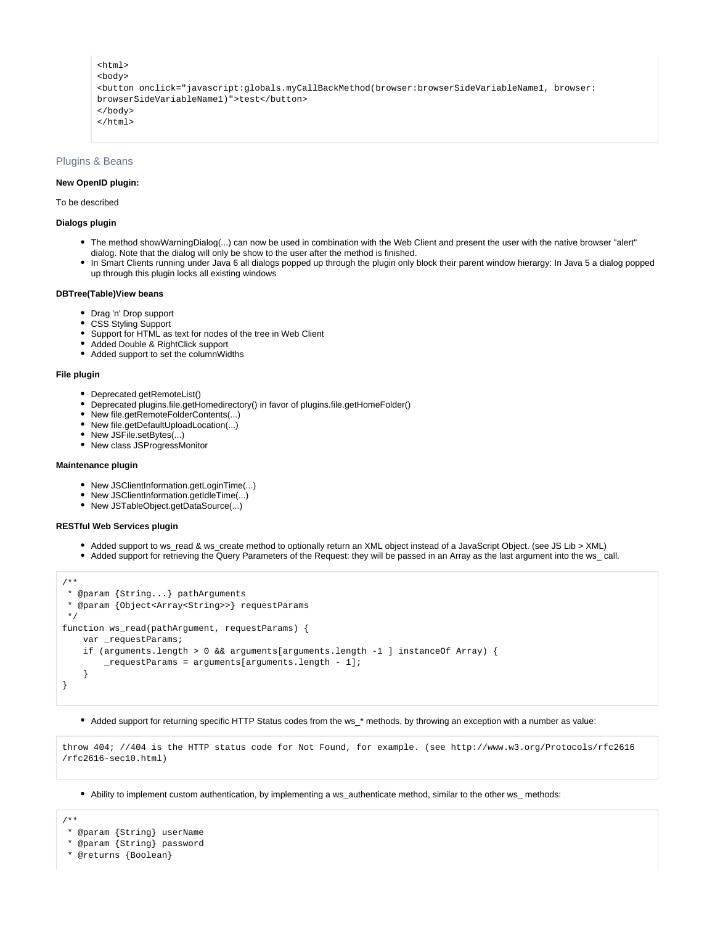```
<html>
<body>
<button onclick="javascript:globals.myCallBackMethod(browser:browserSideVariableName1, browser:
browserSideVariableName1)">test</button>
</body>
</html>
```
### <span id="page-20-0"></span>Plugins & Beans

### **New OpenID plugin:**

### To be described

# **Dialogs plugin**

- The method showWarningDialog(...) can now be used in combination with the Web Client and present the user with the native browser "alert" dialog. Note that the dialog will only be show to the user after the method is finished.
- In Smart Clients running under Java 6 all dialogs popped up through the plugin only block their parent window hierargy: In Java 5 a dialog popped up through this plugin locks all existing windows

### **DBTree(Table)View beans**

- Drag 'n' Drop support
- CSS Styling Support
- Support for HTML as text for nodes of the tree in Web Client
- Added Double & RightClick support
- Added support to set the columnWidths

### **File plugin**

- Deprecated getRemoteList()
- Deprecated plugins.file.getHomedirectory() in favor of plugins.file.getHomeFolder()
- New file.getRemoteFolderContents(...)
- New file.getDefaultUploadLocation(...)
- New JSFile.setBytes(...)
- New class JSProgressMonitor

#### **Maintenance plugin**

- New JSClientInformation.getLoginTime(...)
- New JSClientInformation.getIdleTime(...)
- New JSTableObject.getDataSource(...)

### **RESTful Web Services plugin**

- Added support to ws\_read & ws\_create method to optionally return an XML object instead of a JavaScript Object. (see JS Lib > XML)
- Added support for retrieving the Query Parameters of the Request: they will be passed in an Array as the last argument into the ws\_ call.

```
/**
 * @param {String...} pathArguments
 * @param {Object<Array<String>>} requestParams
 */
function ws_read(pathArgument, requestParams) {
   var requestParams;
    if (arguments.length > 0 && arguments[arguments.length -1 ] instanceOf Array) {
         _requestParams = arguments[arguments.length - 1];
 }
}
```
Added support for returning specific HTTP Status codes from the ws\_\* methods, by throwing an exception with a number as value:

```
throw 404; //404 is the HTTP status code for Not Found, for example. (see http://www.w3.org/Protocols/rfc2616
/rfc2616-sec10.html)
```
Ability to implement custom authentication, by implementing a ws\_authenticate method, similar to the other ws\_ methods:

/\*\*

- \* @param {String} userName
- \* @param {String} password
- \* @returns {Boolean}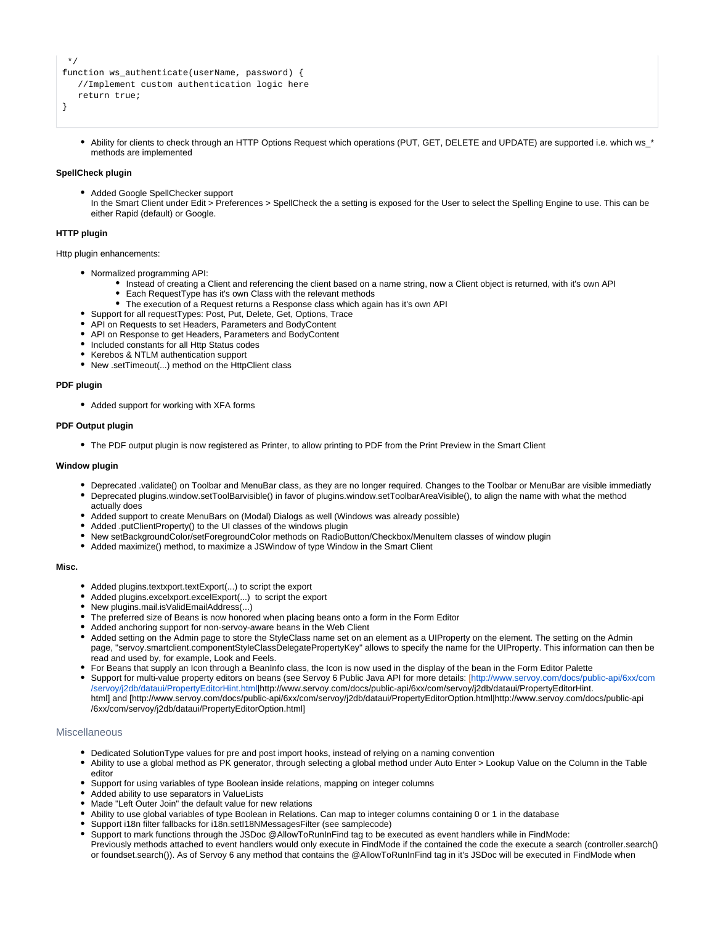```
 */
function ws_authenticate(userName, password) {
    //Implement custom authentication logic here
    return true;
```
- }
- Ability for clients to check through an HTTP Options Request which operations (PUT, GET, DELETE and UPDATE) are supported i.e. which ws \* methods are implemented

### **SpellCheck plugin**

Added Google SpellChecker support In the Smart Client under Edit > Preferences > SpellCheck the a setting is exposed for the User to select the Spelling Engine to use. This can be either Rapid (default) or Google.

### **HTTP plugin**

Http plugin enhancements:

- Normalized programming API:
	- Instead of creating a Client and referencing the client based on a name string, now a Client object is returned, with it's own API
	- Each RequestType has it's own Class with the relevant methods
	- The execution of a Request returns a Response class which again has it's own API
- Support for all requestTypes: Post, Put, Delete, Get, Options, Trace
- API on Requests to set Headers, Parameters and BodyContent
- API on Response to get Headers, Parameters and BodyContent
- Included constants for all Http Status codes
- Kerebos & NTLM authentication support
- New .setTimeout(...) method on the HttpClient class

### **PDF plugin**

Added support for working with XFA forms

### **PDF Output plugin**

The PDF output plugin is now registered as Printer, to allow printing to PDF from the Print Preview in the Smart Client

### **Window plugin**

- Deprecated .validate() on Toolbar and MenuBar class, as they are no longer required. Changes to the Toolbar or MenuBar are visible immediatly
- Deprecated plugins.window.setToolBarvisible() in favor of plugins.window.setToolbarAreaVisible(), to align the name with what the method actually does
- Added support to create MenuBars on (Modal) Dialogs as well (Windows was already possible)
- Added .putClientProperty() to the UI classes of the windows plugin
- New setBackgroundColor/setForegroundColor methods on RadioButton/Checkbox/MenuItem classes of window plugin
- Added maximize() method, to maximize a JSWindow of type Window in the Smart Client

### **Misc.**

- Added plugins.textxport.textExport(...) to script the export
- Added plugins.excelxport.excelExport(...) to script the export
- New plugins.mail.isValidEmailAddress(...)
- The preferred size of Beans is now honored when placing beans onto a form in the Form Editor
- Added anchoring support for non-servoy-aware beans in the Web Client
- Added setting on the Admin page to store the StyleClass name set on an element as a UIProperty on the element. The setting on the Admin page, "servoy.smartclient.componentStyleClassDelegatePropertyKey" allows to specify the name for the UIProperty. This information can then be read and used by, for example, Look and Feels.
- For Beans that supply an Icon through a BeanInfo class, the Icon is now used in the display of the bean in the Form Editor Palette
- Support for multi-value property editors on beans (see Servoy 6 Public Java API for more details: [[http://www.servoy.com/docs/public-api/6xx/com](http://www.servoy.com/docs/public-api/6xx/com/servoy/j2db/dataui/PropertyEditorHint.html) [/servoy/j2db/dataui/PropertyEditorHint.html|](http://www.servoy.com/docs/public-api/6xx/com/servoy/j2db/dataui/PropertyEditorHint.html)http://www.servoy.com/docs/public-api/6xx/com/servoy/j2db/dataui/PropertyEditorHint. html] and [http://www.servoy.com/docs/public-api/6xx/com/servoy/j2db/dataui/PropertyEditorOption.html|http://www.servoy.com/docs/public-api /6xx/com/servoy/j2db/dataui/PropertyEditorOption.html]

# <span id="page-21-0"></span>Miscellaneous

- Dedicated SolutionType values for pre and post import hooks, instead of relying on a naming convention
- Ability to use a global method as PK generator, through selecting a global method under Auto Enter > Lookup Value on the Column in the Table editor
- Support for using variables of type Boolean inside relations, mapping on integer columns
- Added ability to use separators in ValueLists
- Made "Left Outer Join" the default value for new relations
- Ability to use global variables of type Boolean in Relations. Can map to integer columns containing 0 or 1 in the database
- Support i18n filter fallbacks for i18n.setI18NMessagesFilter (see samplecode)
- Support to mark functions through the JSDoc @AllowToRunInFind tag to be executed as event handlers while in FindMode:
- Previously methods attached to event handlers would only execute in FindMode if the contained the code the execute a search (controller.search() or foundset.search()). As of Servoy 6 any method that contains the @AllowToRunInFind tag in it's JSDoc will be executed in FindMode when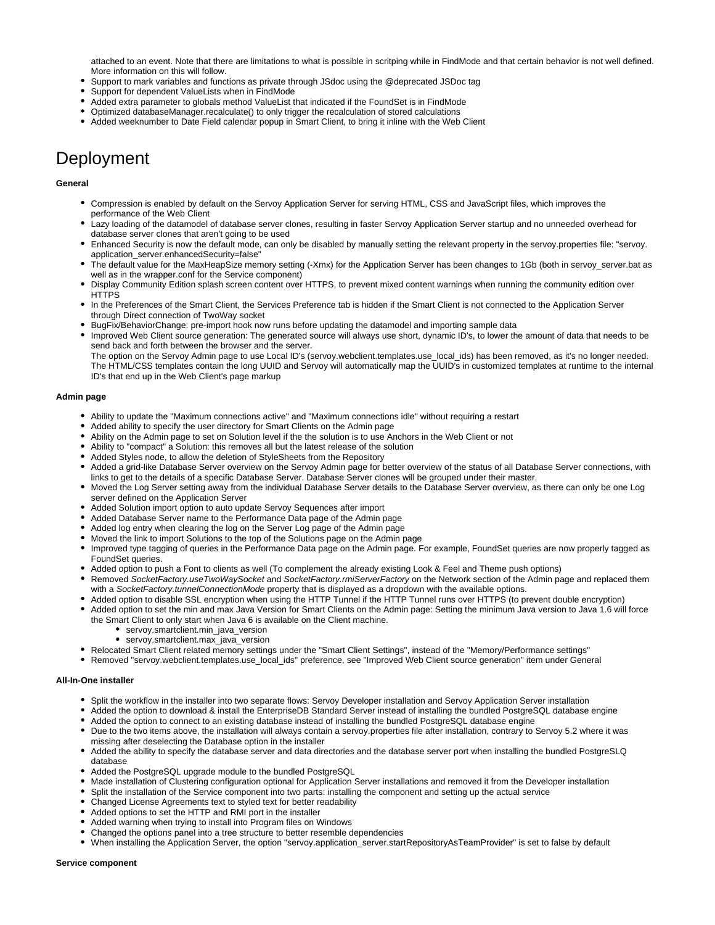attached to an event. Note that there are limitations to what is possible in scritping while in FindMode and that certain behavior is not well defined. More information on this will follow.

- Support to mark variables and functions as private through JSdoc using the @deprecated JSDoc tag
- Support for dependent ValueLists when in FindMode
- Added extra parameter to globals method ValueList that indicated if the FoundSet is in FindMode
- Optimized databaseManager.recalculate() to only trigger the recalculation of stored calculations
- Added weeknumber to Date Field calendar popup in Smart Client, to bring it inline with the Web Client

# <span id="page-22-0"></span>Deployment

### **General**

- Compression is enabled by default on the Servoy Application Server for serving HTML, CSS and JavaScript files, which improves the performance of the Web Client
- Lazy loading of the datamodel of database server clones, resulting in faster Servoy Application Server startup and no unneeded overhead for database server clones that aren't going to be used
- Enhanced Security is now the default mode, can only be disabled by manually setting the relevant property in the servoy.properties file: "servoy. application\_server.enhancedSecurity=false"
- The default value for the MaxHeapSize memory setting (-Xmx) for the Application Server has been changes to 1Gb (both in servoy\_server.bat as well as in the wrapper.conf for the Service component)
- Display Community Edition splash screen content over HTTPS, to prevent mixed content warnings when running the community edition over **HTTPS**
- In the Preferences of the Smart Client, the Services Preference tab is hidden if the Smart Client is not connected to the Application Server through Direct connection of TwoWay socket
- BugFix/BehaviorChange: pre-import hook now runs before updating the datamodel and importing sample data
- Improved Web Client source generation: The generated source will always use short, dynamic ID's, to lower the amount of data that needs to be send back and forth between the browser and the server.

The option on the Servoy Admin page to use Local ID's (servoy.webclient.templates.use\_local\_ids) has been removed, as it's no longer needed. The HTML/CSS templates contain the long UUID and Servoy will automatically map the UUID's in customized templates at runtime to the internal ID's that end up in the Web Client's page markup

### **Admin page**

- Ability to update the "Maximum connections active" and "Maximum connections idle" without requiring a restart
- Added ability to specify the user directory for Smart Clients on the Admin page
- Ability on the Admin page to set on Solution level if the the solution is to use Anchors in the Web Client or not
- Ability to "compact" a Solution: this removes all but the latest release of the solution
- Added Styles node, to allow the deletion of StyleSheets from the Repository
- Added a grid-like Database Server overview on the Servoy Admin page for better overview of the status of all Database Server connections, with links to get to the details of a specific Database Server. Database Server clones will be grouped under their master.
- Moved the Log Server setting away from the individual Database Server details to the Database Server overview, as there can only be one Log server defined on the Application Server
- Added Solution import option to auto update Servoy Sequences after import
- Added Database Server name to the Performance Data page of the Admin page
- Added log entry when clearing the log on the Server Log page of the Admin page
- Moved the link to import Solutions to the top of the Solutions page on the Admin page
- Improved type tagging of queries in the Performance Data page on the Admin page. For example, FoundSet queries are now properly tagged as FoundSet queries.
- Added option to push a Font to clients as well (To complement the already existing Look & Feel and Theme push options)
- Removed SocketFactory.useTwoWaySocket and SocketFactory.rmiServerFactory on the Network section of the Admin page and replaced them with a SocketFactory.tunnelConnectionMode property that is displayed as a dropdown with the available options.
- Added option to disable SSL encryption when using the HTTP Tunnel if the HTTP Tunnel runs over HTTPS (to prevent double encryption)
- Added option to set the min and max Java Version for Smart Clients on the Admin page: Setting the minimum Java version to Java 1.6 will force the Smart Client to only start when Java 6 is available on the Client machine.
	- servoy.smartclient.min\_java\_version
	- servoy.smartclient.max\_java\_version
- Relocated Smart Client related memory settings under the "Smart Client Settings", instead of the "Memory/Performance settings"
- Removed "servoy.webclient.templates.use\_local\_ids" preference, see "Improved Web Client source generation" item under General

### **All-In-One installer**

- Split the workflow in the installer into two separate flows: Servoy Developer installation and Servoy Application Server installation
- Added the option to download & install the EnterpriseDB Standard Server instead of installing the bundled PostgreSQL database engine
- Added the option to connect to an existing database instead of installing the bundled PostgreSQL database engine
- Due to the two items above, the installation will always contain a servoy.properties file after installation, contrary to Servoy 5.2 where it was missing after deselecting the Database option in the installer
- Added the ability to specify the database server and data directories and the database server port when installing the bundled PostgreSLQ database
- Added the PostgreSQL upgrade module to the bundled PostgreSQL
- Made installation of Clustering configuration optional for Application Server installations and removed it from the Developer installation
- Split the installation of the Service component into two parts: installing the component and setting up the actual service
- Changed License Agreements text to styled text for better readability
- Added options to set the HTTP and RMI port in the installer
- Added warning when trying to install into Program files on Windows
- Changed the options panel into a tree structure to better resemble dependencies
- When installing the Application Server, the option "servoy.application\_server.startRepositoryAsTeamProvider" is set to false by default